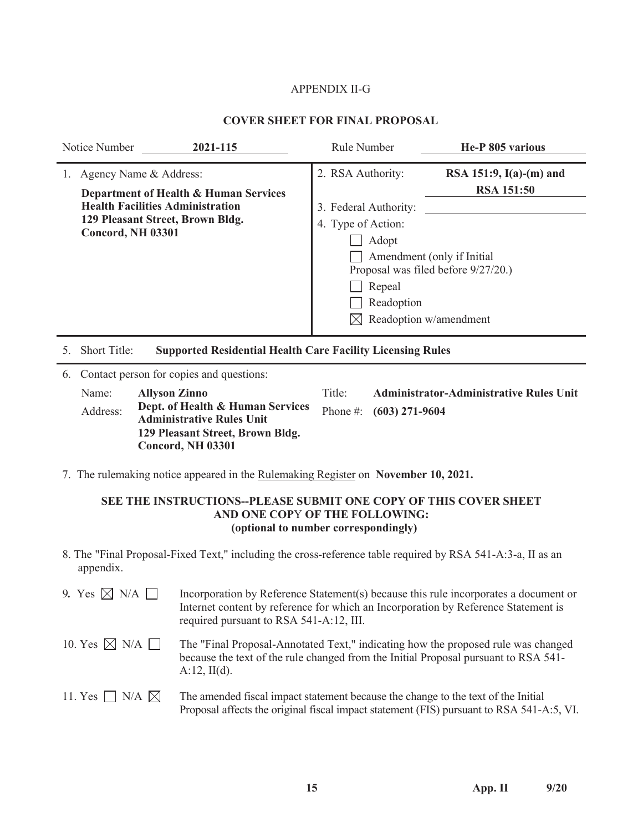## APPENDIX II-G

## **COVER SHEET FOR FINAL PROPOSAL**

|    | Notice Number<br>2021-115                                                                                                                                                  | <b>Rule Number</b>                                                                                | He-P 805 various                                                                                                                              |
|----|----------------------------------------------------------------------------------------------------------------------------------------------------------------------------|---------------------------------------------------------------------------------------------------|-----------------------------------------------------------------------------------------------------------------------------------------------|
|    | Agency Name & Address:<br>Department of Health & Human Services<br><b>Health Facilities Administration</b><br>129 Pleasant Street, Brown Bldg.<br><b>Concord, NH 03301</b> | 2. RSA Authority:<br>3. Federal Authority:<br>4. Type of Action:<br>Adopt<br>Repeal<br>Readoption | RSA 151:9, $I(a)-(m)$ and<br><b>RSA 151:50</b><br>Amendment (only if Initial<br>Proposal was filed before 9/27/20.)<br>Readoption w/amendment |
|    | Short Title:<br><b>Supported Residential Health Care Facility Licensing Rules</b><br>5.                                                                                    |                                                                                                   |                                                                                                                                               |
| 6. | Contact person for copies and questions:                                                                                                                                   |                                                                                                   |                                                                                                                                               |
|    | Name:<br><b>Allyson Zinno</b>                                                                                                                                              | Title:                                                                                            | <b>Administrator-Administrative Rules Unit</b>                                                                                                |
|    | Dept. of Health & Human Services<br>Address:<br><b>Administrative Rules Unit</b>                                                                                           | Phone $\#$ :<br>$(603)$ 271-9604                                                                  |                                                                                                                                               |

7. The rulemaking notice appeared in the Rulemaking Register on **November 10, 2021.**

**129 Pleasant Street, Brown Bldg.** 

**Concord, NH 03301** 

## **SEE THE INSTRUCTIONS--PLEASE SUBMIT ONE COPY OF THIS COVER SHEET AND ONE COP**Y **OF THE FOLLOWING: (optional to number correspondingly)**

8. The "Final Proposal-Fixed Text," including the cross-reference table required by RSA 541-A:3-a, II as an appendix.

| 9. Yes $\boxtimes$ N/A $\Box$  | Incorporation by Reference Statement(s) because this rule incorporates a document or<br>Internet content by reference for which an Incorporation by Reference Statement is<br>required pursuant to RSA 541-A:12, III. |
|--------------------------------|-----------------------------------------------------------------------------------------------------------------------------------------------------------------------------------------------------------------------|
| 10. Yes $\boxtimes$ N/A $\Box$ | The "Final Proposal-Annotated Text," indicating how the proposed rule was changed<br>because the text of the rule changed from the Initial Proposal pursuant to RSA 541-<br>$A:12$ , II(d).                           |
| 11. Yes $\Box$ N/A $\boxtimes$ | The amended fiscal impact statement because the change to the text of the Initial<br>Proposal affects the original fiscal impact statement (FIS) pursuant to RSA 541-A:5, VI.                                         |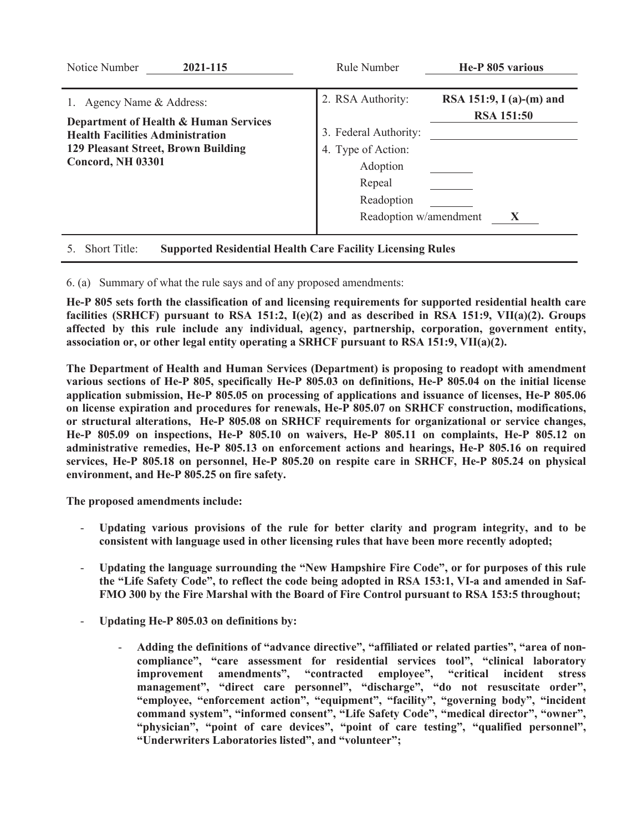| Notice Number<br>2021-115                                                                                                                                                 | Rule Number                                                                                                                    | He-P 805 various                                   |
|---------------------------------------------------------------------------------------------------------------------------------------------------------------------------|--------------------------------------------------------------------------------------------------------------------------------|----------------------------------------------------|
| 1. Agency Name & Address:<br>Department of Health & Human Services<br><b>Health Facilities Administration</b><br>129 Pleasant Street, Brown Building<br>Concord, NH 03301 | 2. RSA Authority:<br>3. Federal Authority:<br>4. Type of Action:<br>Adoption<br>Repeal<br>Readoption<br>Readoption w/amendment | RSA 151:9, I (a)-(m) and<br><b>RSA 151:50</b><br>Х |
| Short Title:<br>5.                                                                                                                                                        | <b>Supported Residential Health Care Facility Licensing Rules</b>                                                              |                                                    |

6. (a) Summary of what the rule says and of any proposed amendments:

**He-P 805 sets forth the classification of and licensing requirements for supported residential health care facilities (SRHCF) pursuant to RSA 151:2, I(e)(2) and as described in RSA 151:9, VII(a)(2). Groups affected by this rule include any individual, agency, partnership, corporation, government entity, association or, or other legal entity operating a SRHCF pursuant to RSA 151:9, VII(a)(2).** 

**The Department of Health and Human Services (Department) is proposing to readopt with amendment various sections of He-P 805, specifically He-P 805.03 on definitions, He-P 805.04 on the initial license application submission, He-P 805.05 on processing of applications and issuance of licenses, He-P 805.06 on license expiration and procedures for renewals, He-P 805.07 on SRHCF construction, modifications, or structural alterations, He-P 805.08 on SRHCF requirements for organizational or service changes, He-P 805.09 on inspections, He-P 805.10 on waivers, He-P 805.11 on complaints, He-P 805.12 on administrative remedies, He-P 805.13 on enforcement actions and hearings, He-P 805.16 on required services, He-P 805.18 on personnel, He-P 805.20 on respite care in SRHCF, He-P 805.24 on physical environment, and He-P 805.25 on fire safety.** 

**The proposed amendments include:** 

- **Updating various provisions of the rule for better clarity and program integrity, and to be consistent with language used in other licensing rules that have been more recently adopted;**
- **Updating the language surrounding the "New Hampshire Fire Code", or for purposes of this rule the "Life Safety Code", to reflect the code being adopted in RSA 153:1, VI-a and amended in Saf-FMO 300 by the Fire Marshal with the Board of Fire Control pursuant to RSA 153:5 throughout;**
- **Updating He-P 805.03 on definitions by:** 
	- **Adding the definitions of "advance directive", "affiliated or related parties", "area of noncompliance", "care assessment for residential services tool", "clinical laboratory improvement amendments", "contracted employee", "critical incident stress management", "direct care personnel", "discharge", "do not resuscitate order", "employee, "enforcement action", "equipment", "facility", "governing body", "incident command system", "informed consent", "Life Safety Code", "medical director", "owner",**  "physician", "point of care devices", "point of care testing", "qualified personnel", **"Underwriters Laboratories listed", and "volunteer";**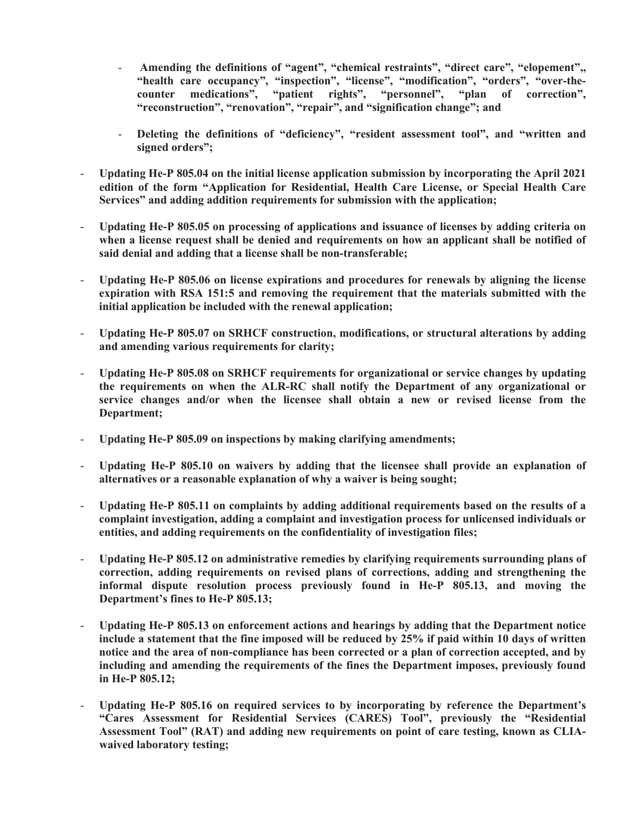- Amending the definitions of "agent", "chemical restraints", "direct care", "elopement", "health care occupancy", "inspection", "license", "modification", "orders", "over-the-<br>counter medications", "patient rights", "personnel", "plan of correction", **counter medications", "patient rights", "personnel", "plan of correction", "reconstruction", "renovation", "repair", and "signification change"; and**
- Deleting the definitions of "deficiency", "resident assessment tool", and "written and **signed orders";**
- **Updating He-P 805.04 on the initial license application submission by incorporating the April 2021 edition of the form "Application for Residential, Health Care License, or Special Health Care Services" and adding addition requirements for submission with the application;**
- **Updating He-P 805.05 on processing of applications and issuance of licenses by adding criteria on when a license request shall be denied and requirements on how an applicant shall be notified of said denial and adding that a license shall be non-transferable;**
- **Updating He-P 805.06 on license expirations and procedures for renewals by aligning the license expiration with RSA 151:5 and removing the requirement that the materials submitted with the initial application be included with the renewal application;**
- **Updating He-P 805.07 on SRHCF construction, modifications, or structural alterations by adding and amending various requirements for clarity;**
- **Updating He-P 805.08 on SRHCF requirements for organizational or service changes by updating the requirements on when the ALR-RC shall notify the Department of any organizational or service changes and/or when the licensee shall obtain a new or revised license from the Department;**
- **Updating He-P 805.09 on inspections by making clarifying amendments;**
- **Updating He-P 805.10 on waivers by adding that the licensee shall provide an explanation of alternatives or a reasonable explanation of why a waiver is being sought;**
- **Updating He-P 805.11 on complaints by adding additional requirements based on the results of a complaint investigation, adding a complaint and investigation process for unlicensed individuals or entities, and adding requirements on the confidentiality of investigation files;**
- **Updating He-P 805.12 on administrative remedies by clarifying requirements surrounding plans of correction, adding requirements on revised plans of corrections, adding and strengthening the informal dispute resolution process previously found in He-P 805.13, and moving the Department's fines to He-P 805.13;**
- **Updating He-P 805.13 on enforcement actions and hearings by adding that the Department notice include a statement that the fine imposed will be reduced by 25% if paid within 10 days of written notice and the area of non-compliance has been corrected or a plan of correction accepted, and by including and amending the requirements of the fines the Department imposes, previously found in He-P 805.12;**
- **Updating He-P 805.16 on required services to by incorporating by reference the Department's "Cares Assessment for Residential Services (CARES) Tool", previously the "Residential Assessment Tool" (RAT) and adding new requirements on point of care testing, known as CLIAwaived laboratory testing;**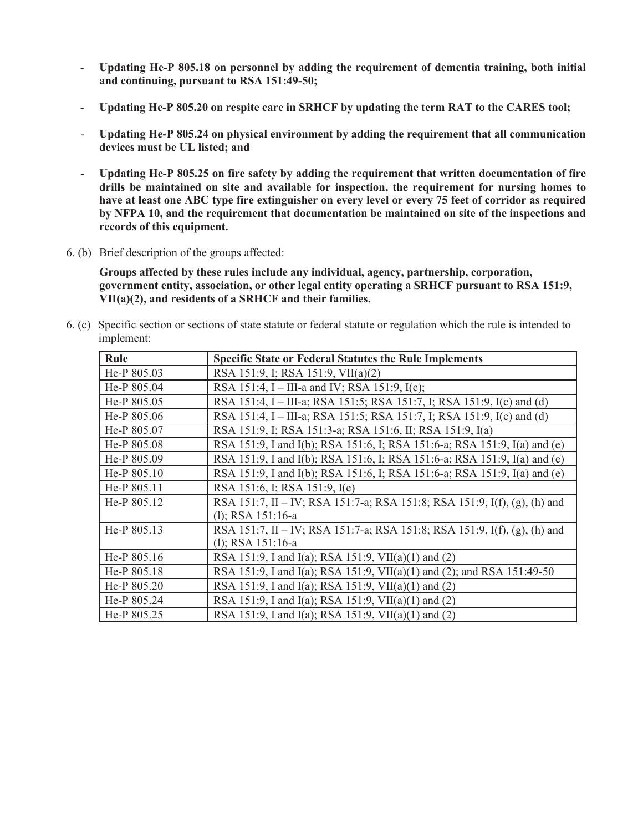- **Updating He-P 805.18 on personnel by adding the requirement of dementia training, both initial and continuing, pursuant to RSA 151:49-50;**
- **Updating He-P 805.20 on respite care in SRHCF by updating the term RAT to the CARES tool;**
- **Updating He-P 805.24 on physical environment by adding the requirement that all communication devices must be UL listed; and**
- **Updating He-P 805.25 on fire safety by adding the requirement that written documentation of fire drills be maintained on site and available for inspection, the requirement for nursing homes to have at least one ABC type fire extinguisher on every level or every 75 feet of corridor as required by NFPA 10, and the requirement that documentation be maintained on site of the inspections and records of this equipment.**
- 6. (b) Brief description of the groups affected:

**Groups affected by these rules include any individual, agency, partnership, corporation, government entity, association, or other legal entity operating a SRHCF pursuant to RSA 151:9, VII(a)(2), and residents of a SRHCF and their families.** 

6. (c) Specific section or sections of state statute or federal statute or regulation which the rule is intended to implement:

| Rule          | <b>Specific State or Federal Statutes the Rule Implements</b>             |
|---------------|---------------------------------------------------------------------------|
| He-P 805.03   | RSA 151:9, I; RSA 151:9, VII(a)(2)                                        |
| He-P 805.04   | RSA 151:4, I – III-a and IV; RSA 151:9, I(c);                             |
| He-P 805.05   | RSA 151:4, I - III-a; RSA 151:5; RSA 151:7, I; RSA 151:9, I(c) and (d)    |
| He-P 805.06   | RSA 151:4, I – III-a; RSA 151:5; RSA 151:7, I; RSA 151:9, I(c) and (d)    |
| He-P 805.07   | RSA 151:9, I; RSA 151:3-a; RSA 151:6, II; RSA 151:9, I(a)                 |
| He-P 805.08   | RSA 151:9, I and I(b); RSA 151:6, I; RSA 151:6-a; RSA 151:9, I(a) and (e) |
| He-P 805.09   | RSA 151:9, I and I(b); RSA 151:6, I; RSA 151:6-a; RSA 151:9, I(a) and (e) |
| He-P $805.10$ | RSA 151:9, I and I(b); RSA 151:6, I; RSA 151:6-a; RSA 151:9, I(a) and (e) |
| He-P 805.11   | RSA 151:6, I; RSA 151:9, I(e)                                             |
| He-P 805.12   | RSA 151:7, II – IV; RSA 151:7-a; RSA 151:8; RSA 151:9, I(f), (g), (h) and |
|               | (1); RSA 151:16-a                                                         |
| He-P 805.13   | RSA 151:7, II – IV; RSA 151:7-a; RSA 151:8; RSA 151:9, I(f), (g), (h) and |
|               | $(l)$ ; RSA 151:16-a                                                      |
| He-P 805.16   | RSA 151:9, I and I(a); RSA 151:9, VII(a)(1) and (2)                       |
| He-P 805.18   | RSA 151:9, I and I(a); RSA 151:9, VII(a)(1) and (2); and RSA 151:49-50    |
| He-P 805.20   | RSA 151:9, I and I(a); RSA 151:9, VII(a)(1) and (2)                       |
| He-P 805.24   | RSA 151:9, I and I(a); RSA 151:9, VII(a)(1) and (2)                       |
| He-P 805.25   | RSA 151:9, I and I(a); RSA 151:9, VII(a)(1) and (2)                       |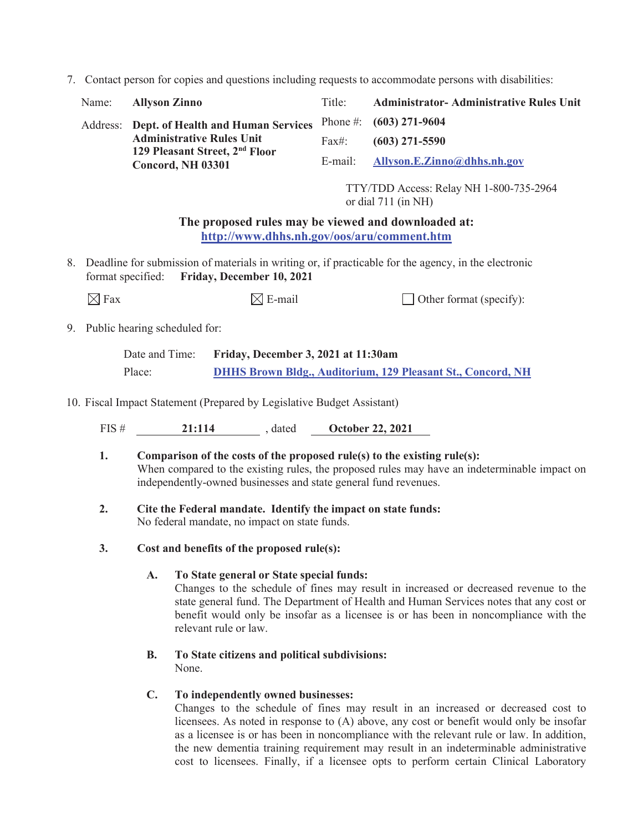7. Contact person for copies and questions including requests to accommodate persons with disabilities:

| Name: | <b>Allyson Zinno</b>                                                           | Title: | <b>Administrator-Administrative Rules Unit</b> |
|-------|--------------------------------------------------------------------------------|--------|------------------------------------------------|
|       | Address: Dept. of Health and Human Services                                    |        | Phone #: $(603)$ 271-9604                      |
|       | <b>Administrative Rules Unit</b><br>129 Pleasant Street, 2 <sup>nd</sup> Floor | Fax#:  | $(603)$ 271-5590                               |
|       | Concord, NH 03301                                                              |        | E-mail: Allyson.E.Zinno@dhhs.nh.gov            |
|       |                                                                                |        |                                                |

TTY/TDD Access: Relay NH 1-800-735-2964 or dial 711 (in NH)

## **The proposed rules may be viewed and downloaded at: http://www.dhhs.nh.gov/oos/aru/comment.htm**

8. Deadline for submission of materials in writing or, if practicable for the agency, in the electronic format specified: **Friday, December 10, 2021**

| $\boxtimes$ Fax | $\boxtimes$ E-mail | $\Box$ Other format (specify): |
|-----------------|--------------------|--------------------------------|
|-----------------|--------------------|--------------------------------|

## 9. Public hearing scheduled for:

| Date and Time: | Friday, December 3, 2021 at 11:30am                                |
|----------------|--------------------------------------------------------------------|
| Place:         | <b>DHHS Brown Bldg., Auditorium, 129 Pleasant St., Concord, NH</b> |

10. Fiscal Impact Statement (Prepared by Legislative Budget Assistant)

FIS # **21:114** , dated **October 22, 2021** 

- **1. Comparison of the costs of the proposed rule(s) to the existing rule(s):**  When compared to the existing rules, the proposed rules may have an indeterminable impact on independently-owned businesses and state general fund revenues.
- **2. Cite the Federal mandate. Identify the impact on state funds:**  No federal mandate, no impact on state funds.
- **3. Cost and benefits of the proposed rule(s):**

## **A. To State general or State special funds:**

Changes to the schedule of fines may result in increased or decreased revenue to the state general fund. The Department of Health and Human Services notes that any cost or benefit would only be insofar as a licensee is or has been in noncompliance with the relevant rule or law.

## **B. To State citizens and political subdivisions:**  None.

## **C. To independently owned businesses:**

Changes to the schedule of fines may result in an increased or decreased cost to licensees. As noted in response to (A) above, any cost or benefit would only be insofar as a licensee is or has been in noncompliance with the relevant rule or law. In addition, the new dementia training requirement may result in an indeterminable administrative cost to licensees. Finally, if a licensee opts to perform certain Clinical Laboratory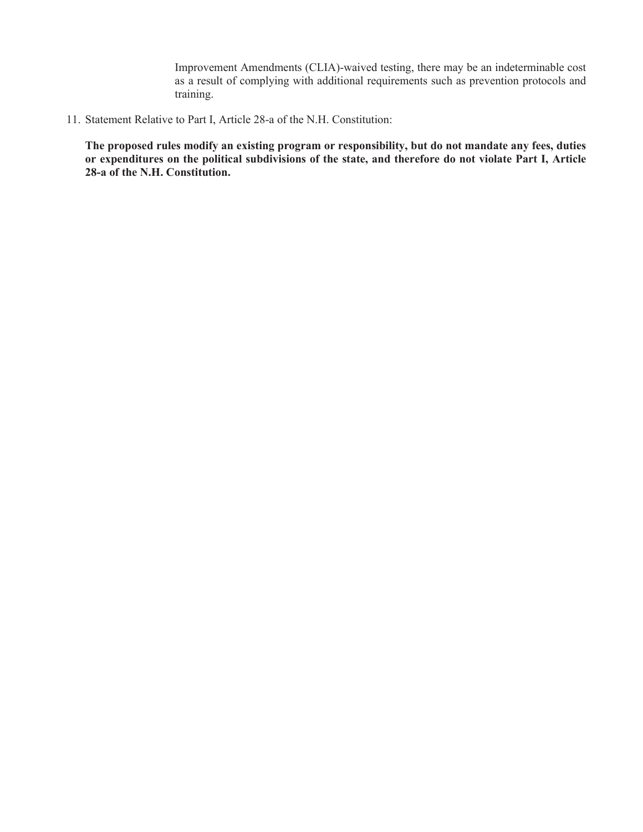Improvement Amendments (CLIA)-waived testing, there may be an indeterminable cost as a result of complying with additional requirements such as prevention protocols and training.

11. Statement Relative to Part I, Article 28-a of the N.H. Constitution:

**The proposed rules modify an existing program or responsibility, but do not mandate any fees, duties or expenditures on the political subdivisions of the state, and therefore do not violate Part I, Article 28-a of the N.H. Constitution.**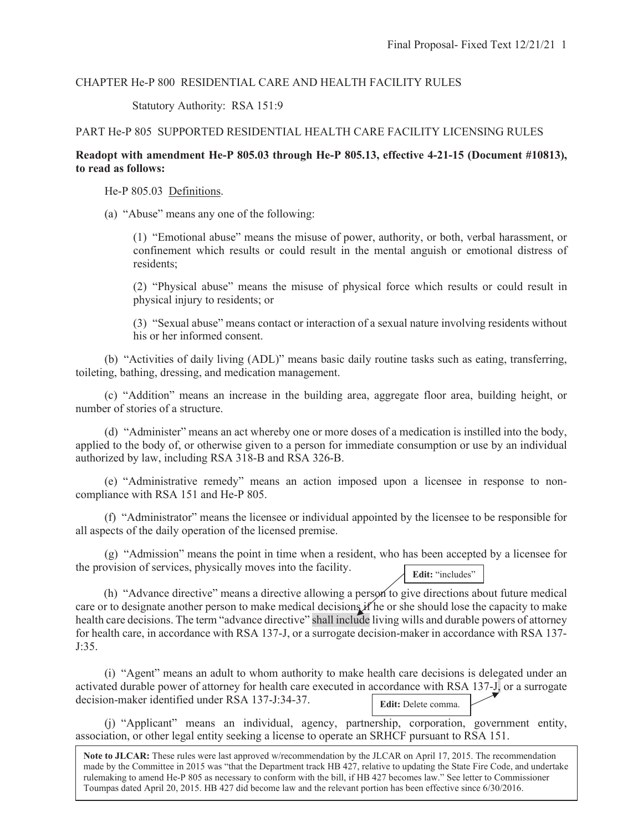## CHAPTER He-P 800 RESIDENTIAL CARE AND HEALTH FACILITY RULES

Statutory Authority: RSA 151:9

## PART He-P 805 SUPPORTED RESIDENTIAL HEALTH CARE FACILITY LICENSING RULES

## **Readopt with amendment He-P 805.03 through He-P 805.13, effective 4-21-15 (Document #10813), to read as follows:**

He-P 805.03 Definitions.

 $\overline{\phantom{a}}$ 

(a) "Abuse" means any one of the following:

(1) "Emotional abuse" means the misuse of power, authority, or both, verbal harassment, or confinement which results or could result in the mental anguish or emotional distress of residents;

(2) "Physical abuse" means the misuse of physical force which results or could result in physical injury to residents; or

(3) "Sexual abuse" means contact or interaction of a sexual nature involving residents without his or her informed consent.

 (b) "Activities of daily living (ADL)" means basic daily routine tasks such as eating, transferring, toileting, bathing, dressing, and medication management.

 (c) "Addition" means an increase in the building area, aggregate floor area, building height, or number of stories of a structure.

 (d) "Administer" means an act whereby one or more doses of a medication is instilled into the body, applied to the body of, or otherwise given to a person for immediate consumption or use by an individual authorized by law, including RSA 318-B and RSA 326-B.

 (e) "Administrative remedy" means an action imposed upon a licensee in response to noncompliance with RSA 151 and He-P 805.

 (f) "Administrator" means the licensee or individual appointed by the licensee to be responsible for all aspects of the daily operation of the licensed premise.

 (g) "Admission" means the point in time when a resident, who has been accepted by a licensee for the provision of services, physically moves into the facility. **Edit:** "includes"

(h) "Advance directive" means a directive allowing a person to give directions about future medical care or to designate another person to make medical decisions if he or she should lose the capacity to make health care decisions. The term "advance directive" shall include living wills and durable powers of attorney for health care, in accordance with RSA 137-J, or a surrogate decision-maker in accordance with RSA 137- J:35.

 (i) "Agent" means an adult to whom authority to make health care decisions is delegated under an activated durable power of attorney for health care executed in accordance with RSA 137-J, or a surrogate decision-maker identified under RSA 137-J:34-37. **Edit:** Delete comma.

 (j) "Applicant" means an individual, agency, partnership, corporation, government entity, association, or other legal entity seeking a license to operate an SRHCF pursuant to RSA 151.

**Note to JLCAR:** These rules were last approved w/recommendation by the JLCAR on April 17, 2015. The recommendation made by the Committee in 2015 was "that the Department track HB 427, relative to updating the State Fire Code, and undertake rulemaking to amend He-P 805 as necessary to conform with the bill, if HB 427 becomes law." See letter to Commissioner Toumpas dated April 20, 2015. HB 427 did become law and the relevant portion has been effective since 6/30/2016.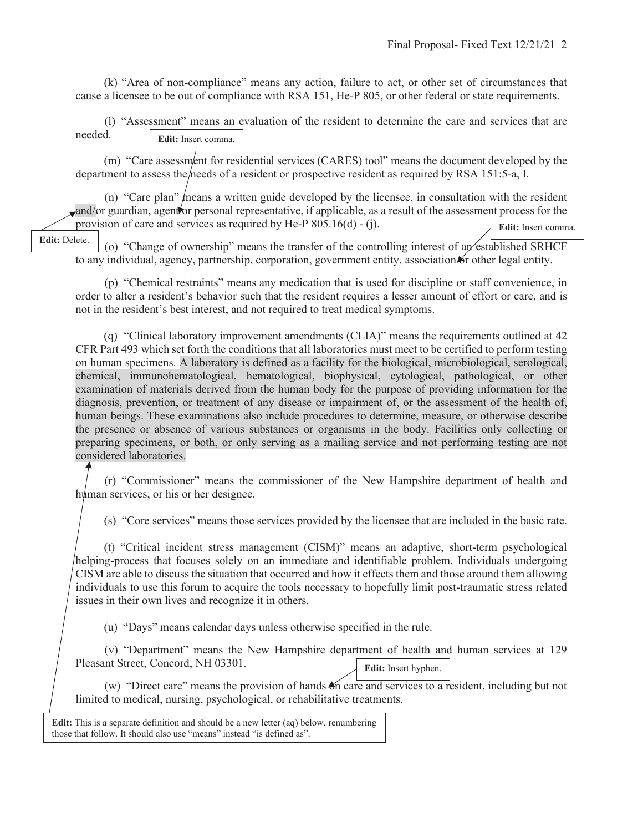(k) "Area of non-compliance" means any action, failure to act, or other set of circumstances that cause a licensee to be out of compliance with RSA 151, He-P 805, or other federal or state requirements.

 (l) "Assessment" means an evaluation of the resident to determine the care and services that are needed. **Edit:** Insert comma.

(m) "Care assessment for residential services (CARES) tool" means the document developed by the department to assess the needs of a resident or prospective resident as required by RSA 151:5-a, I.

(n) "Care plan" means a written guide developed by the licensee, in consultation with the resident and/or guardian, agent or personal representative, if applicable, as a result of the assessment process for the provision of care and services as required by He-P 805.16(d) - (j). **Edit:** Insert comma.

**Edit:** Delete.

(o) "Change of ownership" means the transfer of the controlling interest of an established SRHCF to any individual, agency, partnership, corporation, government entity, association or other legal entity.

 (p) "Chemical restraints" means any medication that is used for discipline or staff convenience, in order to alter a resident's behavior such that the resident requires a lesser amount of effort or care, and is not in the resident's best interest, and not required to treat medical symptoms.

(q) "Clinical laboratory improvement amendments (CLIA)" means the requirements outlined at 42 CFR Part 493 which set forth the conditions that all laboratories must meet to be certified to perform testing on human specimens. A laboratory is defined as a facility for the biological, microbiological, serological, chemical, immunohematological, hematological, biophysical, cytological, pathological, or other examination of materials derived from the human body for the purpose of providing information for the diagnosis, prevention, or treatment of any disease or impairment of, or the assessment of the health of, human beings. These examinations also include procedures to determine, measure, or otherwise describe the presence or absence of various substances or organisms in the body. Facilities only collecting or preparing specimens, or both, or only serving as a mailing service and not performing testing are not considered laboratories.

 (r) "Commissioner" means the commissioner of the New Hampshire department of health and human services, or his or her designee.

(s) "Core services" means those services provided by the licensee that are included in the basic rate.

 (t) "Critical incident stress management (CISM)" means an adaptive, short-term psychological helping-process that focuses solely on an immediate and identifiable problem. Individuals undergoing CISM are able to discuss the situation that occurred and how it effects them and those around them allowing individuals to use this forum to acquire the tools necessary to hopefully limit post-traumatic stress related issues in their own lives and recognize it in others.

(u) "Days" means calendar days unless otherwise specified in the rule.

 (v) "Department" means the New Hampshire department of health and human services at 129 Pleasant Street, Concord, NH 03301. **Edit:** Insert hyphen.

(w) "Direct care" means the provision of hands  $\mathfrak{S}_n$  care and services to a resident, including but not limited to medical, nursing, psychological, or rehabilitative treatments.

**Edit:** This is a separate definition and should be a new letter (aq) below, renumbering those that follow. It should also use "means" instead "is defined as".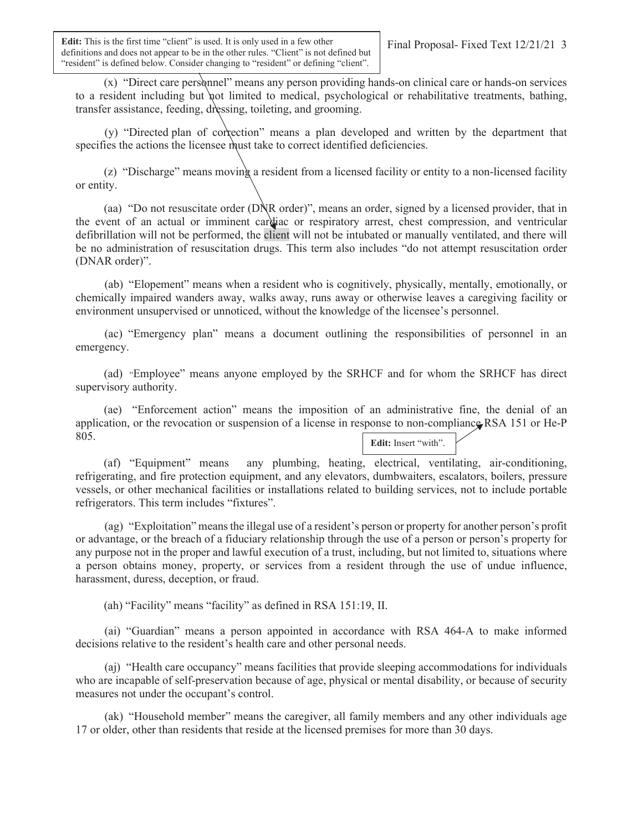**Edit:** This is the first time "client" is used. It is only used in a few other definitions and does not appear to be in the other rules. "Client" is not defined but "resident" is defined below. Consider changing to "resident" or defining "client".

 (x) "Direct care personnel" means any person providing hands-on clinical care or hands-on services to a resident including but not limited to medical, psychological or rehabilitative treatments, bathing, transfer assistance, feeding, dressing, toileting, and grooming.

 (y) "Directed plan of correction" means a plan developed and written by the department that specifies the actions the licensee must take to correct identified deficiencies.

 (z) "Discharge" means moving a resident from a licensed facility or entity to a non-licensed facility or entity.

 (aa) "Do not resuscitate order (DNR order)", means an order, signed by a licensed provider, that in the event of an actual or imminent cardiac or respiratory arrest, chest compression, and ventricular defibrillation will not be performed, the client will not be intubated or manually ventilated, and there will be no administration of resuscitation drugs. This term also includes "do not attempt resuscitation order (DNAR order)".

 (ab) "Elopement" means when a resident who is cognitively, physically, mentally, emotionally, or chemically impaired wanders away, walks away, runs away or otherwise leaves a caregiving facility or environment unsupervised or unnoticed, without the knowledge of the licensee's personnel.

 (ac) "Emergency plan" means a document outlining the responsibilities of personnel in an emergency.

 (ad) "Employee" means anyone employed by the SRHCF and for whom the SRHCF has direct supervisory authority.

 (ae) "Enforcement action" means the imposition of an administrative fine, the denial of an application, or the revocation or suspension of a license in response to non-compliance RSA 151 or He-P 805. **Edit:** Insert "with".

 (af) "Equipment" means any plumbing, heating, electrical, ventilating, air-conditioning, refrigerating, and fire protection equipment, and any elevators, dumbwaiters, escalators, boilers, pressure vessels, or other mechanical facilities or installations related to building services, not to include portable refrigerators. This term includes "fixtures".

 (ag) "Exploitation" means the illegal use of a resident's person or property for another person's profit or advantage, or the breach of a fiduciary relationship through the use of a person or person's property for any purpose not in the proper and lawful execution of a trust, including, but not limited to, situations where a person obtains money, property, or services from a resident through the use of undue influence, harassment, duress, deception, or fraud.

(ah) "Facility" means "facility" as defined in RSA 151:19, II.

 (ai) "Guardian" means a person appointed in accordance with RSA 464-A to make informed decisions relative to the resident's health care and other personal needs.

 (aj) "Health care occupancy" means facilities that provide sleeping accommodations for individuals who are incapable of self-preservation because of age, physical or mental disability, or because of security measures not under the occupant's control.

 (ak) "Household member" means the caregiver, all family members and any other individuals age 17 or older, other than residents that reside at the licensed premises for more than 30 days.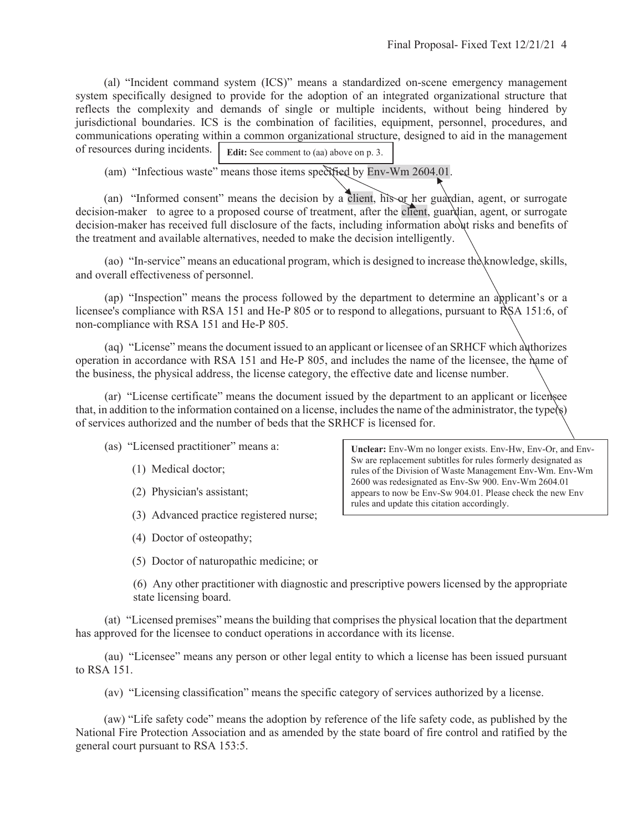(al) "Incident command system (ICS)" means a standardized on-scene emergency management system specifically designed to provide for the adoption of an integrated organizational structure that reflects the complexity and demands of single or multiple incidents, without being hindered by jurisdictional boundaries. ICS is the combination of facilities, equipment, personnel, procedures, and communications operating within a common organizational structure, designed to aid in the management of resources during incidents. **Edit:** See comment to (aa) above on p. 3.

(am) "Infectious waste" means those items specified by Env-Wm 2604.01.

 (an) "Informed consent" means the decision by a client, his or her guardian, agent, or surrogate decision-maker to agree to a proposed course of treatment, after the client, guardian, agent, or surrogate decision-maker has received full disclosure of the facts, including information about risks and benefits of the treatment and available alternatives, needed to make the decision intelligently.

(ao) "In-service" means an educational program, which is designed to increase the knowledge, skills, and overall effectiveness of personnel.

 (ap) "Inspection" means the process followed by the department to determine an applicant's or a licensee's compliance with RSA 151 and He-P 805 or to respond to allegations, pursuant to RSA 151:6, of non-compliance with RSA 151 and He-P 805.

 (aq) "License" means the document issued to an applicant or licensee of an SRHCF which authorizes operation in accordance with RSA 151 and He-P 805, and includes the name of the licensee, the name of the business, the physical address, the license category, the effective date and license number.

 (ar) "License certificate" means the document issued by the department to an applicant or licensee that, in addition to the information contained on a license, includes the name of the administrator, the type $\langle s \rangle$ of services authorized and the number of beds that the SRHCF is licensed for.

(as) "Licensed practitioner" means a:

- (1) Medical doctor;
- (2) Physician's assistant;
- (3) Advanced practice registered nurse;
- (4) Doctor of osteopathy;
- (5) Doctor of naturopathic medicine; or

(6) Any other practitioner with diagnostic and prescriptive powers licensed by the appropriate state licensing board.

 (at) "Licensed premises" means the building that comprises the physical location that the department has approved for the licensee to conduct operations in accordance with its license.

 (au) "Licensee" means any person or other legal entity to which a license has been issued pursuant to RSA 151.

(av) "Licensing classification" means the specific category of services authorized by a license.

(aw) "Life safety code" means the adoption by reference of the life safety code, as published by the National Fire Protection Association and as amended by the state board of fire control and ratified by the general court pursuant to RSA 153:5.

**Unclear:** Env-Wm no longer exists. Env-Hw, Env-Or, and Env-Sw are replacement subtitles for rules formerly designated as rules of the Division of Waste Management Env-Wm. Env-Wm 2600 was redesignated as Env-Sw 900. Env-Wm 2604.01 appears to now be Env-Sw 904.01. Please check the new Env rules and update this citation accordingly.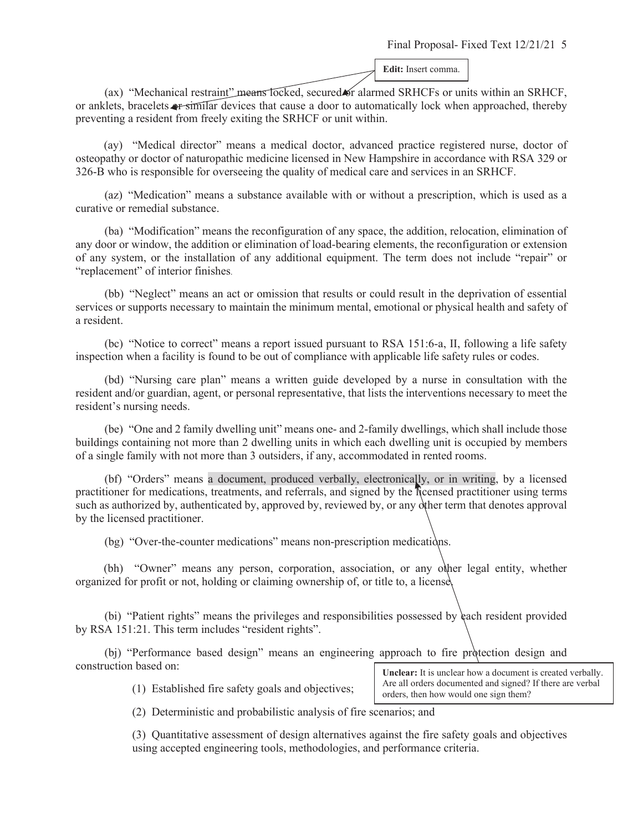**Edit:** Insert comma.

(ax) "Mechanical restraint" means locked, secured or alarmed SRHCFs or units within an SRHCF, or anklets, bracelets or similar devices that cause a door to automatically lock when approached, thereby preventing a resident from freely exiting the SRHCF or unit within.

 (ay) "Medical director" means a medical doctor, advanced practice registered nurse, doctor of osteopathy or doctor of naturopathic medicine licensed in New Hampshire in accordance with RSA 329 or 326-B who is responsible for overseeing the quality of medical care and services in an SRHCF.

 (az) "Medication" means a substance available with or without a prescription, which is used as a curative or remedial substance.

 (ba) "Modification" means the reconfiguration of any space, the addition, relocation, elimination of any door or window, the addition or elimination of load-bearing elements, the reconfiguration or extension of any system, or the installation of any additional equipment. The term does not include "repair" or "replacement" of interior finishes.

 (bb) "Neglect" means an act or omission that results or could result in the deprivation of essential services or supports necessary to maintain the minimum mental, emotional or physical health and safety of a resident.

 (bc) "Notice to correct" means a report issued pursuant to RSA 151:6-a, II, following a life safety inspection when a facility is found to be out of compliance with applicable life safety rules or codes.

 (bd) "Nursing care plan" means a written guide developed by a nurse in consultation with the resident and/or guardian, agent, or personal representative, that lists the interventions necessary to meet the resident's nursing needs.

 (be) "One and 2 family dwelling unit" means one- and 2-family dwellings, which shall include those buildings containing not more than 2 dwelling units in which each dwelling unit is occupied by members of a single family with not more than 3 outsiders, if any, accommodated in rented rooms.

 (bf) "Orders" means a document, produced verbally, electronically, or in writing, by a licensed practitioner for medications, treatments, and referrals, and signed by the licensed practitioner using terms such as authorized by, authenticated by, approved by, reviewed by, or any other term that denotes approval by the licensed practitioner.

(bg) "Over-the-counter medications" means non-prescription medications.

 (bh) "Owner" means any person, corporation, association, or any other legal entity, whether organized for profit or not, holding or claiming ownership of, or title to, a license.

 (bi) "Patient rights" means the privileges and responsibilities possessed by each resident provided by RSA 151:21. This term includes "resident rights".

 (bj) "Performance based design" means an engineering approach to fire protection design and construction based on:

(1) Established fire safety goals and objectives;

Unclear: It is unclear how a document is created verbally. Are all orders documented and signed? If there are verbal orders, then how would one sign them?

(2) Deterministic and probabilistic analysis of fire scenarios; and

(3) Quantitative assessment of design alternatives against the fire safety goals and objectives using accepted engineering tools, methodologies, and performance criteria.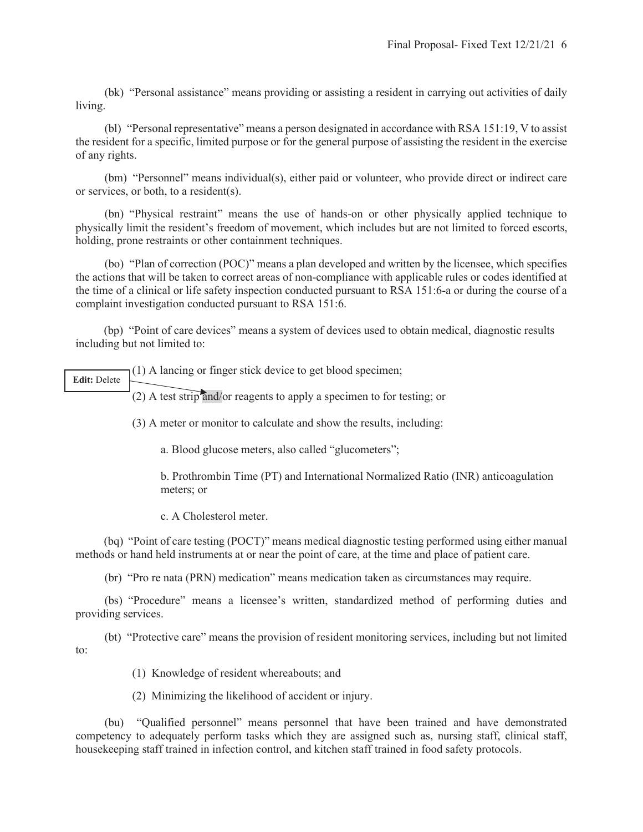(bk) "Personal assistance" means providing or assisting a resident in carrying out activities of daily living.

 (bl) "Personal representative" means a person designated in accordance with RSA 151:19, V to assist the resident for a specific, limited purpose or for the general purpose of assisting the resident in the exercise of any rights.

 (bm) "Personnel" means individual(s), either paid or volunteer, who provide direct or indirect care or services, or both, to a resident(s).

 (bn) "Physical restraint" means the use of hands-on or other physically applied technique to physically limit the resident's freedom of movement, which includes but are not limited to forced escorts, holding, prone restraints or other containment techniques.

 (bo) "Plan of correction (POC)" means a plan developed and written by the licensee, which specifies the actions that will be taken to correct areas of non-compliance with applicable rules or codes identified at the time of a clinical or life safety inspection conducted pursuant to RSA 151:6-a or during the course of a complaint investigation conducted pursuant to RSA 151:6.

(bp) "Point of care devices" means a system of devices used to obtain medical, diagnostic results including but not limited to:

(1) A lancing or finger stick device to get blood specimen; **Edit:** Delete

(2) A test strip and/or reagents to apply a specimen to for testing; or

(3) A meter or monitor to calculate and show the results, including:

a. Blood glucose meters, also called "glucometers";

b. Prothrombin Time (PT) and International Normalized Ratio (INR) anticoagulation meters; or

c. A Cholesterol meter.

(bq) "Point of care testing (POCT)" means medical diagnostic testing performed using either manual methods or hand held instruments at or near the point of care, at the time and place of patient care.

(br) "Pro re nata (PRN) medication" means medication taken as circumstances may require.

 (bs) "Procedure" means a licensee's written, standardized method of performing duties and providing services.

 (bt) "Protective care" means the provision of resident monitoring services, including but not limited to:

(1) Knowledge of resident whereabouts; and

(2) Minimizing the likelihood of accident or injury.

 (bu) "Qualified personnel" means personnel that have been trained and have demonstrated competency to adequately perform tasks which they are assigned such as, nursing staff, clinical staff, housekeeping staff trained in infection control, and kitchen staff trained in food safety protocols.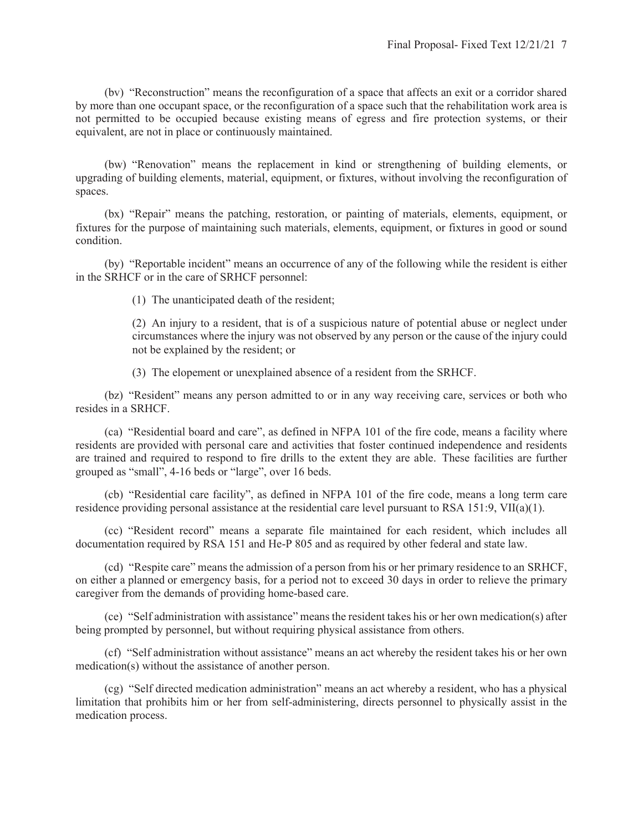(bv) "Reconstruction" means the reconfiguration of a space that affects an exit or a corridor shared by more than one occupant space, or the reconfiguration of a space such that the rehabilitation work area is not permitted to be occupied because existing means of egress and fire protection systems, or their equivalent, are not in place or continuously maintained.

 (bw) "Renovation" means the replacement in kind or strengthening of building elements, or upgrading of building elements, material, equipment, or fixtures, without involving the reconfiguration of spaces.

 (bx) "Repair" means the patching, restoration, or painting of materials, elements, equipment, or fixtures for the purpose of maintaining such materials, elements, equipment, or fixtures in good or sound condition.

 (by) "Reportable incident" means an occurrence of any of the following while the resident is either in the SRHCF or in the care of SRHCF personnel:

(1) The unanticipated death of the resident;

(2) An injury to a resident, that is of a suspicious nature of potential abuse or neglect under circumstances where the injury was not observed by any person or the cause of the injury could not be explained by the resident; or

(3) The elopement or unexplained absence of a resident from the SRHCF.

 (bz) "Resident" means any person admitted to or in any way receiving care, services or both who resides in a SRHCF.

 (ca) "Residential board and care", as defined in NFPA 101 of the fire code, means a facility where residents are provided with personal care and activities that foster continued independence and residents are trained and required to respond to fire drills to the extent they are able. These facilities are further grouped as "small", 4-16 beds or "large", over 16 beds.

 (cb) "Residential care facility", as defined in NFPA 101 of the fire code, means a long term care residence providing personal assistance at the residential care level pursuant to RSA 151:9, VII(a)(1).

 (cc) "Resident record" means a separate file maintained for each resident, which includes all documentation required by RSA 151 and He-P 805 and as required by other federal and state law.

 (cd) "Respite care" means the admission of a person from his or her primary residence to an SRHCF, on either a planned or emergency basis, for a period not to exceed 30 days in order to relieve the primary caregiver from the demands of providing home-based care.

 (ce) "Self administration with assistance" means the resident takes his or her own medication(s) after being prompted by personnel, but without requiring physical assistance from others.

 (cf) "Self administration without assistance" means an act whereby the resident takes his or her own medication(s) without the assistance of another person.

 (cg) "Self directed medication administration" means an act whereby a resident, who has a physical limitation that prohibits him or her from self-administering, directs personnel to physically assist in the medication process.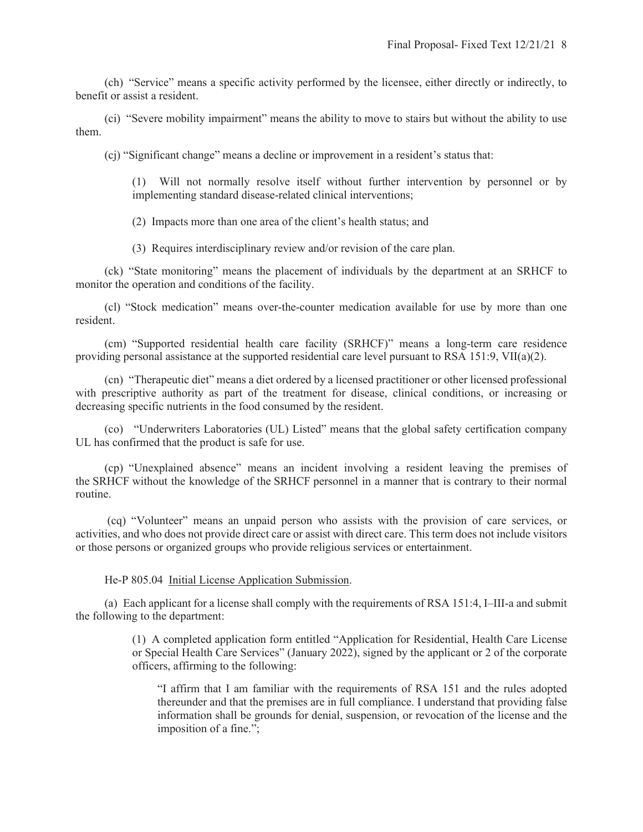(ch) "Service" means a specific activity performed by the licensee, either directly or indirectly, to benefit or assist a resident.

 (ci) "Severe mobility impairment" means the ability to move to stairs but without the ability to use them.

(cj) "Significant change" means a decline or improvement in a resident's status that:

(1) Will not normally resolve itself without further intervention by personnel or by implementing standard disease-related clinical interventions;

(2) Impacts more than one area of the client's health status; and

(3) Requires interdisciplinary review and/or revision of the care plan.

 (ck) "State monitoring" means the placement of individuals by the department at an SRHCF to monitor the operation and conditions of the facility.

 (cl) "Stock medication" means over-the-counter medication available for use by more than one resident.

 (cm) "Supported residential health care facility (SRHCF)" means a long-term care residence providing personal assistance at the supported residential care level pursuant to RSA 151:9, VII(a)(2).

 (cn) "Therapeutic diet" means a diet ordered by a licensed practitioner or other licensed professional with prescriptive authority as part of the treatment for disease, clinical conditions, or increasing or decreasing specific nutrients in the food consumed by the resident.

 (co) "Underwriters Laboratories (UL) Listed" means that the global safety certification company UL has confirmed that the product is safe for use.

 (cp) "Unexplained absence" means an incident involving a resident leaving the premises of the SRHCF without the knowledge of the SRHCF personnel in a manner that is contrary to their normal routine.

(cq) "Volunteer" means an unpaid person who assists with the provision of care services, or activities, and who does not provide direct care or assist with direct care. This term does not include visitors or those persons or organized groups who provide religious services or entertainment.

#### He-P 805.04 Initial License Application Submission.

 (a) Each applicant for a license shall comply with the requirements of RSA 151:4, I–III-a and submit the following to the department:

> (1) A completed application form entitled "Application for Residential, Health Care License or Special Health Care Services" (January 2022), signed by the applicant or 2 of the corporate officers, affirming to the following:

"I affirm that I am familiar with the requirements of RSA 151 and the rules adopted thereunder and that the premises are in full compliance. I understand that providing false information shall be grounds for denial, suspension, or revocation of the license and the imposition of a fine.";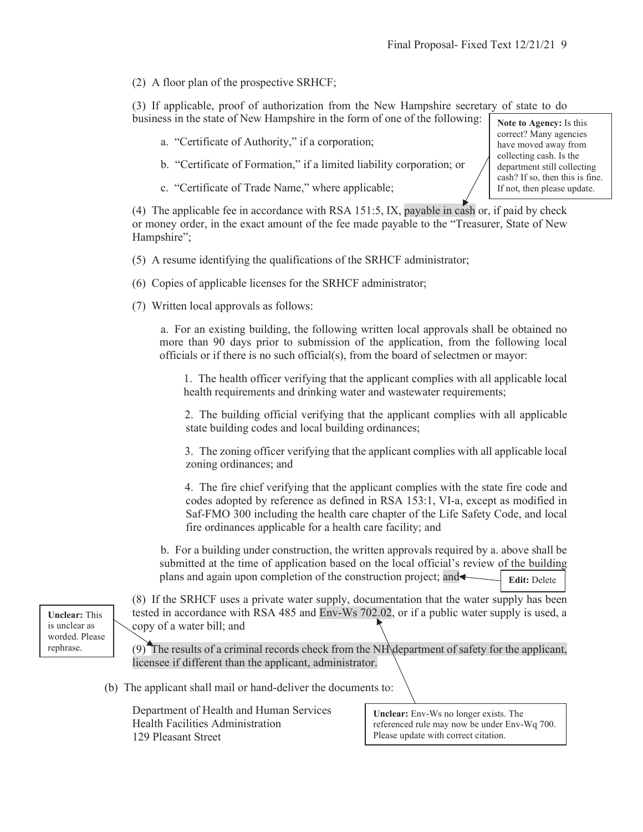correct? Many agencies have moved away from collecting cash. Is the department still collecting cash? If so, then this is fine. If not, then please update.

(2) A floor plan of the prospective SRHCF;

(3) If applicable, proof of authorization from the New Hampshire secretary of state to do business in the state of New Hampshire in the form of one of the following: **Note to Agency:** Is this

- a. "Certificate of Authority," if a corporation;
- b. "Certificate of Formation," if a limited liability corporation; or
- c. "Certificate of Trade Name," where applicable;

(4) The applicable fee in accordance with RSA 151:5, IX, payable in cash or, if paid by check or money order, in the exact amount of the fee made payable to the "Treasurer, State of New Hampshire";

- (5) A resume identifying the qualifications of the SRHCF administrator;
- (6) Copies of applicable licenses for the SRHCF administrator;
- (7) Written local approvals as follows:

a. For an existing building, the following written local approvals shall be obtained no more than 90 days prior to submission of the application, from the following local officials or if there is no such official(s), from the board of selectmen or mayor:

1. The health officer verifying that the applicant complies with all applicable local health requirements and drinking water and wastewater requirements;

2. The building official verifying that the applicant complies with all applicable state building codes and local building ordinances;

3. The zoning officer verifying that the applicant complies with all applicable local zoning ordinances; and

4. The fire chief verifying that the applicant complies with the state fire code and codes adopted by reference as defined in RSA 153:1, VI-a, except as modified in Saf-FMO 300 including the health care chapter of the Life Safety Code, and local fire ordinances applicable for a health care facility; and

b. For a building under construction, the written approvals required by a. above shall be submitted at the time of application based on the local official's review of the building plans and again upon completion of the construction project; and **Edit:** Delete

**Unclear:** This is unclear as worded. Please rephrase.

ľ

(8) If the SRHCF uses a private water supply, documentation that the water supply has been tested in accordance with RSA 485 and Env-Ws 702.02, or if a public water supply is used, a copy of a water bill; and

(9) The results of a criminal records check from the NH department of safety for the applicant, licensee if different than the applicant, administrator.

(b) The applicant shall mail or hand-deliver the documents to:

Department of Health and Human Services Health Facilities Administration 129 Pleasant Street

**Unclear:** Env-Ws no longer exists. The referenced rule may now be under Env-Wq 700. Please update with correct citation.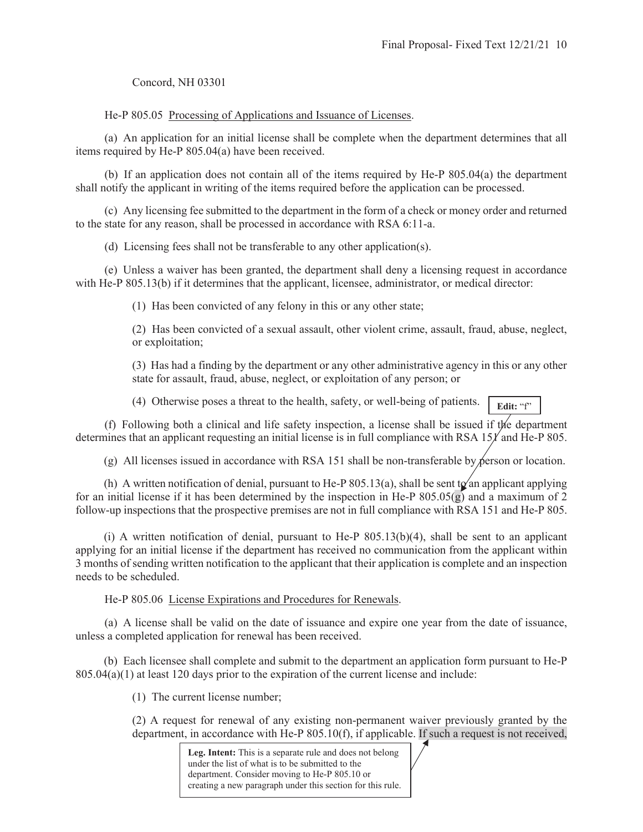Concord, NH 03301

He-P 805.05 Processing of Applications and Issuance of Licenses.

 (a) An application for an initial license shall be complete when the department determines that all items required by He-P 805.04(a) have been received.

 (b) If an application does not contain all of the items required by He-P 805.04(a) the department shall notify the applicant in writing of the items required before the application can be processed.

 (c) Any licensing fee submitted to the department in the form of a check or money order and returned to the state for any reason, shall be processed in accordance with RSA 6:11-a.

(d) Licensing fees shall not be transferable to any other application(s).

 (e) Unless a waiver has been granted, the department shall deny a licensing request in accordance with He-P 805.13(b) if it determines that the applicant, licensee, administrator, or medical director:

(1) Has been convicted of any felony in this or any other state;

(2) Has been convicted of a sexual assault, other violent crime, assault, fraud, abuse, neglect, or exploitation;

(3) Has had a finding by the department or any other administrative agency in this or any other state for assault, fraud, abuse, neglect, or exploitation of any person; or

(4) Otherwise poses a threat to the health, safety, or well-being of patients. **Edit:** "f"

 (f) Following both a clinical and life safety inspection, a license shall be issued if the department determines that an applicant requesting an initial license is in full compliance with RSA  $151'$  and He-P 805.

(g) All licenses issued in accordance with RSA 151 shall be non-transferable by person or location.

(h) A written notification of denial, pursuant to He-P 805.13(a), shall be sent to an applicant applying for an initial license if it has been determined by the inspection in He-P  $805.05(g)$  and a maximum of 2 follow-up inspections that the prospective premises are not in full compliance with RSA 151 and He-P 805.

 (i) A written notification of denial, pursuant to He-P 805.13(b)(4), shall be sent to an applicant applying for an initial license if the department has received no communication from the applicant within 3 months of sending written notification to the applicant that their application is complete and an inspection needs to be scheduled.

He-P 805.06 License Expirations and Procedures for Renewals.

 (a) A license shall be valid on the date of issuance and expire one year from the date of issuance, unless a completed application for renewal has been received.

(b) Each licensee shall complete and submit to the department an application form pursuant to He-P 805.04(a)(1) at least 120 days prior to the expiration of the current license and include:

(1) The current license number;

(2) A request for renewal of any existing non-permanent waiver previously granted by the department, in accordance with He-P 805.10(f), if applicable. If such a request is not received,

> **Leg. Intent:** This is a separate rule and does not belong under the list of what is to be submitted to the department. Consider moving to He-P 805.10 or creating a new paragraph under this section for this rule.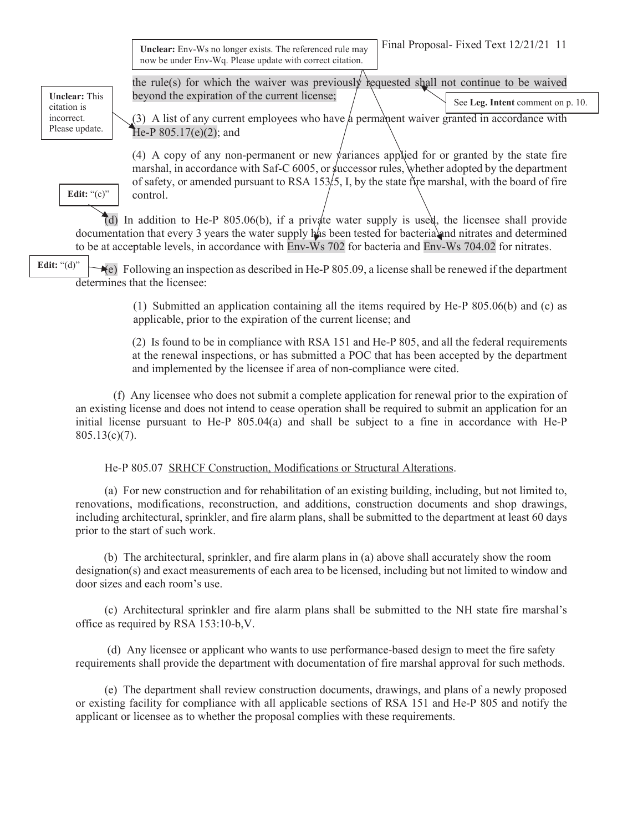Final Proposal- Fixed Text 12/21/21 11 **Unclear:** Env-Ws no longer exists. The referenced rule may now be under Env-Wq. Please update with correct citation.

the rule(s) for which the waiver was previously requested shall not continue to be waived

**Unclear:** This citation is incorrect. Please update.

**Edit:** "(c)"

 $(3)$  A list of any current employees who have a permanent waiver granted in accordance with He-P 805.17(e)(2); and See **Leg. Intent** comment on p. 10.

(4) A copy of any non-permanent or new variances applied for or granted by the state fire marshal, in accordance with Saf-C  $6005$ , or successor rules, whether adopted by the department of safety, or amended pursuant to RSA 153. I, by the state fire marshal, with the board of fire control.

 (d) In addition to He-P 805.06(b), if a private water supply is used, the licensee shall provide documentation that every 3 years the water supply has been tested for bacteria and nitrates and determined to be at acceptable levels, in accordance with Env-Ws 702 for bacteria and Env-Ws 704.02 for nitrates.

beyond the expiration of the current license;

(e) Following an inspection as described in He-P 805.09, a license shall be renewed if the department determines that the licensee: **Edit:** "(d)"

> (1) Submitted an application containing all the items required by He-P 805.06(b) and (c) as applicable, prior to the expiration of the current license; and

> (2) Is found to be in compliance with RSA 151 and He-P 805, and all the federal requirements at the renewal inspections, or has submitted a POC that has been accepted by the department and implemented by the licensee if area of non-compliance were cited.

 (f) Any licensee who does not submit a complete application for renewal prior to the expiration of an existing license and does not intend to cease operation shall be required to submit an application for an initial license pursuant to He-P 805.04(a) and shall be subject to a fine in accordance with He-P  $805.13(c)(7)$ .

## He-P 805.07 SRHCF Construction, Modifications or Structural Alterations.

 (a) For new construction and for rehabilitation of an existing building, including, but not limited to, renovations, modifications, reconstruction, and additions, construction documents and shop drawings, including architectural, sprinkler, and fire alarm plans, shall be submitted to the department at least 60 days prior to the start of such work.

(b) The architectural, sprinkler, and fire alarm plans in (a) above shall accurately show the room designation(s) and exact measurements of each area to be licensed, including but not limited to window and door sizes and each room's use.

 (c) Architectural sprinkler and fire alarm plans shall be submitted to the NH state fire marshal's office as required by RSA 153:10-b,V.

 (d) Any licensee or applicant who wants to use performance-based design to meet the fire safety requirements shall provide the department with documentation of fire marshal approval for such methods.

 (e) The department shall review construction documents, drawings, and plans of a newly proposed or existing facility for compliance with all applicable sections of RSA 151 and He-P 805 and notify the applicant or licensee as to whether the proposal complies with these requirements.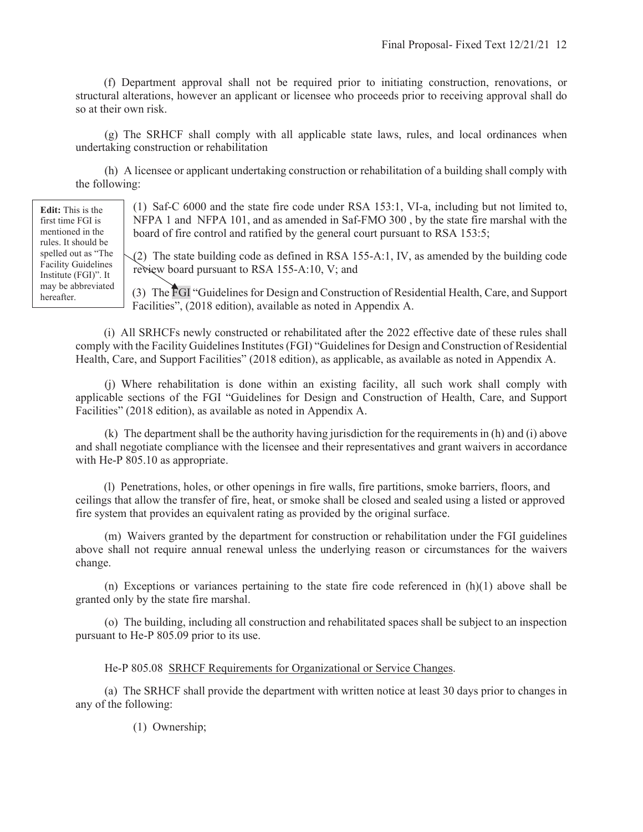(f) Department approval shall not be required prior to initiating construction, renovations, or structural alterations, however an applicant or licensee who proceeds prior to receiving approval shall do so at their own risk.

 (g) The SRHCF shall comply with all applicable state laws, rules, and local ordinances when undertaking construction or rehabilitation

 (h) A licensee or applicant undertaking construction or rehabilitation of a building shall comply with the following:

> (1) Saf-C 6000 and the state fire code under RSA 153:1, VI-a, including but not limited to, NFPA 1 and NFPA 101, and as amended in Saf-FMO 300 , by the state fire marshal with the board of fire control and ratified by the general court pursuant to RSA 153:5;

> $(2)$  The state building code as defined in RSA 155-A:1, IV, as amended by the building code review board pursuant to RSA 155-A:10, V; and

> (3) The FGI "Guidelines for Design and Construction of Residential Health, Care, and Support Facilities", (2018 edition), available as noted in Appendix A.

(i) All SRHCFs newly constructed or rehabilitated after the 2022 effective date of these rules shall comply with the Facility Guidelines Institutes (FGI) "Guidelines for Design and Construction of Residential Health, Care, and Support Facilities" (2018 edition), as applicable, as available as noted in Appendix A.

 (j) Where rehabilitation is done within an existing facility, all such work shall comply with applicable sections of the FGI "Guidelines for Design and Construction of Health, Care, and Support Facilities" (2018 edition), as available as noted in Appendix A.

 (k) The department shall be the authority having jurisdiction for the requirements in (h) and (i) above and shall negotiate compliance with the licensee and their representatives and grant waivers in accordance with He-P 805.10 as appropriate.

 (l) Penetrations, holes, or other openings in fire walls, fire partitions, smoke barriers, floors, and ceilings that allow the transfer of fire, heat, or smoke shall be closed and sealed using a listed or approved fire system that provides an equivalent rating as provided by the original surface.

 (m) Waivers granted by the department for construction or rehabilitation under the FGI guidelines above shall not require annual renewal unless the underlying reason or circumstances for the waivers change.

(n) Exceptions or variances pertaining to the state fire code referenced in  $(h)(1)$  above shall be granted only by the state fire marshal.

 (o) The building, including all construction and rehabilitated spaces shall be subject to an inspection pursuant to He-P 805.09 prior to its use.

#### He-P 805.08 SRHCF Requirements for Organizational or Service Changes.

 (a) The SRHCF shall provide the department with written notice at least 30 days prior to changes in any of the following:

(1) Ownership;

**Edit:** This is the first time FGI is mentioned in the rules. It should be spelled out as "The Facility Guidelines Institute (FGI)". It may be abbreviated hereafter.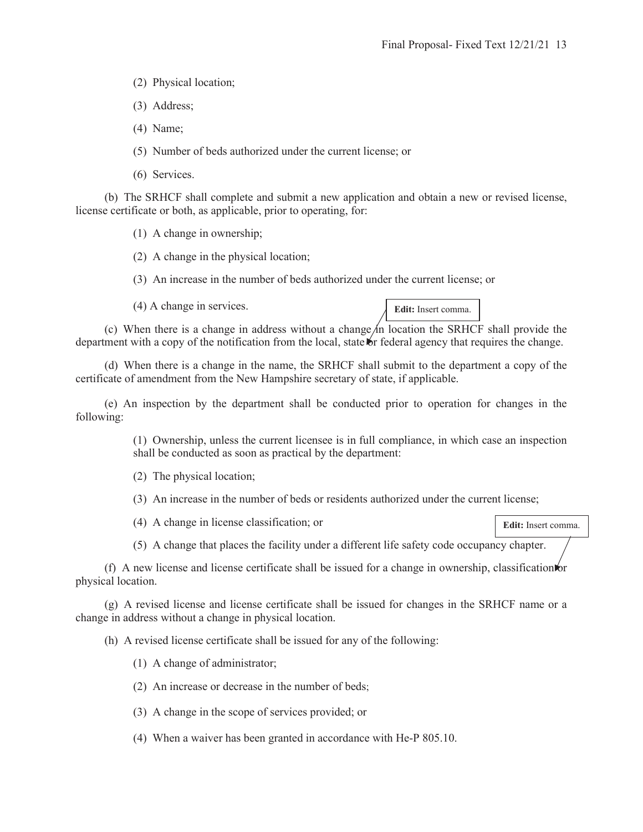**Edit:** Insert comma.

- (2) Physical location;
- (3) Address;
- (4) Name;
- (5) Number of beds authorized under the current license; or
- (6) Services.

 (b) The SRHCF shall complete and submit a new application and obtain a new or revised license, license certificate or both, as applicable, prior to operating, for:

(1) A change in ownership;

(2) A change in the physical location;

(3) An increase in the number of beds authorized under the current license; or

(4) A change in services.

(c) When there is a change in address without a change in location the SRHCF shall provide the department with a copy of the notification from the local, state or federal agency that requires the change.

 (d) When there is a change in the name, the SRHCF shall submit to the department a copy of the certificate of amendment from the New Hampshire secretary of state, if applicable.

 (e) An inspection by the department shall be conducted prior to operation for changes in the following:

> (1) Ownership, unless the current licensee is in full compliance, in which case an inspection shall be conducted as soon as practical by the department:

(2) The physical location;

(3) An increase in the number of beds or residents authorized under the current license;

(4) A change in license classification; or

(5) A change that places the facility under a different life safety code occupancy chapter.

(f) A new license and license certificate shall be issued for a change in ownership, classification or physical location.

 (g) A revised license and license certificate shall be issued for changes in the SRHCF name or a change in address without a change in physical location.

(h) A revised license certificate shall be issued for any of the following:

- (1) A change of administrator;
- (2) An increase or decrease in the number of beds;
- (3) A change in the scope of services provided; or
- (4) When a waiver has been granted in accordance with He-P 805.10.

**Edit:** Insert comma.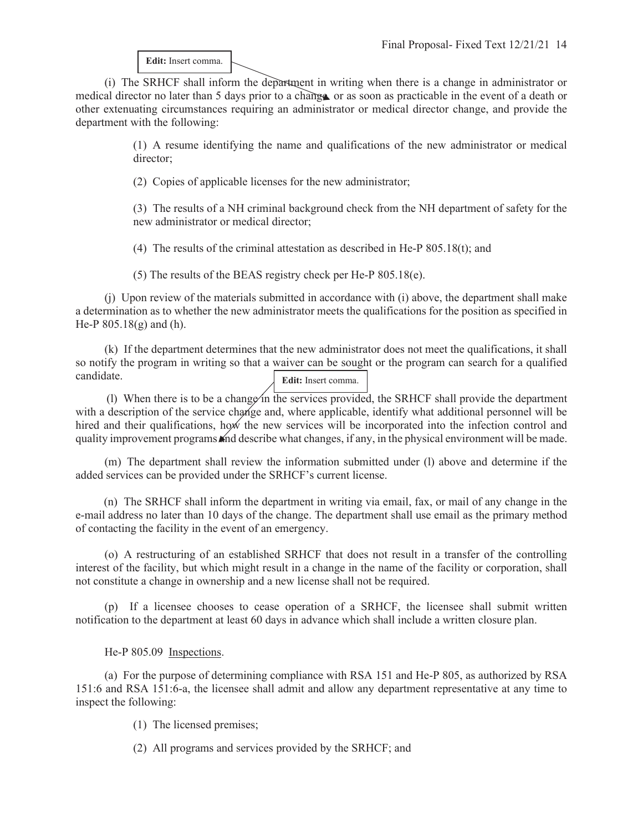**Edit:** Insert comma.

 (i) The SRHCF shall inform the department in writing when there is a change in administrator or medical director no later than 5 days prior to a change or as soon as practicable in the event of a death or other extenuating circumstances requiring an administrator or medical director change, and provide the department with the following:

> (1) A resume identifying the name and qualifications of the new administrator or medical director;

(2) Copies of applicable licenses for the new administrator;

(3) The results of a NH criminal background check from the NH department of safety for the new administrator or medical director;

(4) The results of the criminal attestation as described in He-P 805.18(t); and

(5) The results of the BEAS registry check per He-P 805.18(e).

 (j) Upon review of the materials submitted in accordance with (i) above, the department shall make a determination as to whether the new administrator meets the qualifications for the position as specified in He-P 805.18(g) and (h).

 (k) If the department determines that the new administrator does not meet the qualifications, it shall so notify the program in writing so that a waiver can be sought or the program can search for a qualified candidate. **Edit:** Insert comma.

(1) When there is to be a change in the services provided, the SRHCF shall provide the department with a description of the service change and, where applicable, identify what additional personnel will be hired and their qualifications, how the new services will be incorporated into the infection control and quality improvement programs and describe what changes, if any, in the physical environment will be made.

 (m) The department shall review the information submitted under (l) above and determine if the added services can be provided under the SRHCF's current license.

 (n) The SRHCF shall inform the department in writing via email, fax, or mail of any change in the e-mail address no later than 10 days of the change. The department shall use email as the primary method of contacting the facility in the event of an emergency.

 (o) A restructuring of an established SRHCF that does not result in a transfer of the controlling interest of the facility, but which might result in a change in the name of the facility or corporation, shall not constitute a change in ownership and a new license shall not be required.

 (p) If a licensee chooses to cease operation of a SRHCF, the licensee shall submit written notification to the department at least 60 days in advance which shall include a written closure plan.

He-P 805.09 Inspections.

 (a) For the purpose of determining compliance with RSA 151 and He-P 805, as authorized by RSA 151:6 and RSA 151:6-a, the licensee shall admit and allow any department representative at any time to inspect the following:

- (1) The licensed premises;
- (2) All programs and services provided by the SRHCF; and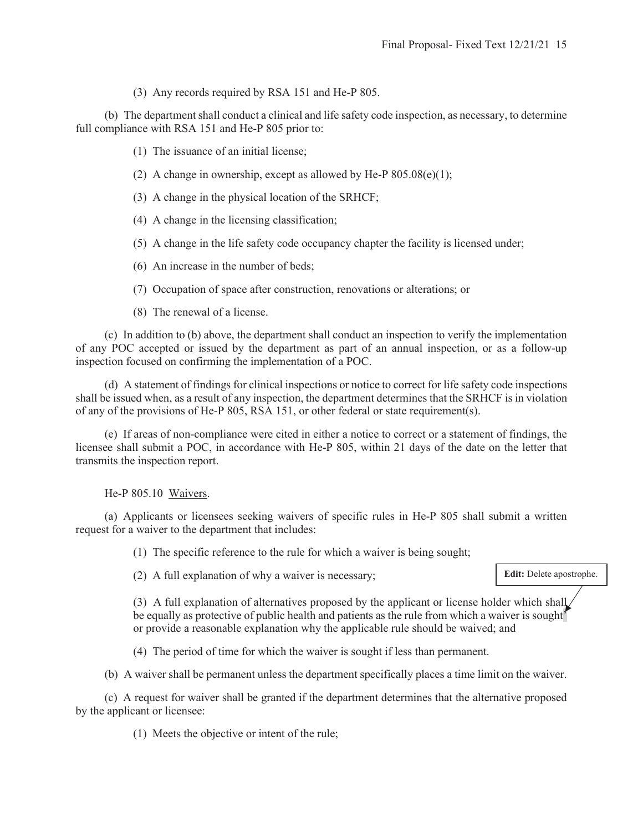(3) Any records required by RSA 151 and He-P 805.

 (b) The department shall conduct a clinical and life safety code inspection, as necessary, to determine full compliance with RSA 151 and He-P 805 prior to:

- (1) The issuance of an initial license;
- (2) A change in ownership, except as allowed by He-P  $805.08(e)(1)$ ;
- (3) A change in the physical location of the SRHCF;
- (4) A change in the licensing classification;
- (5) A change in the life safety code occupancy chapter the facility is licensed under;
- (6) An increase in the number of beds;
- (7) Occupation of space after construction, renovations or alterations; or
- (8) The renewal of a license.

 (c) In addition to (b) above, the department shall conduct an inspection to verify the implementation of any POC accepted or issued by the department as part of an annual inspection, or as a follow-up inspection focused on confirming the implementation of a POC.

 (d) A statement of findings for clinical inspections or notice to correct for life safety code inspections shall be issued when, as a result of any inspection, the department determines that the SRHCF is in violation of any of the provisions of He-P 805, RSA 151, or other federal or state requirement(s).

 (e) If areas of non-compliance were cited in either a notice to correct or a statement of findings, the licensee shall submit a POC, in accordance with He-P 805, within 21 days of the date on the letter that transmits the inspection report.

He-P 805.10 Waivers.

 (a) Applicants or licensees seeking waivers of specific rules in He-P 805 shall submit a written request for a waiver to the department that includes:

(1) The specific reference to the rule for which a waiver is being sought;

(2) A full explanation of why a waiver is necessary;

**Edit:** Delete apostrophe.

(3) A full explanation of alternatives proposed by the applicant or license holder which shall be equally as protective of public health and patients as the rule from which a waiver is sought or provide a reasonable explanation why the applicable rule should be waived; and

(4) The period of time for which the waiver is sought if less than permanent.

(b) A waiver shall be permanent unless the department specifically places a time limit on the waiver.

 (c) A request for waiver shall be granted if the department determines that the alternative proposed by the applicant or licensee:

(1) Meets the objective or intent of the rule;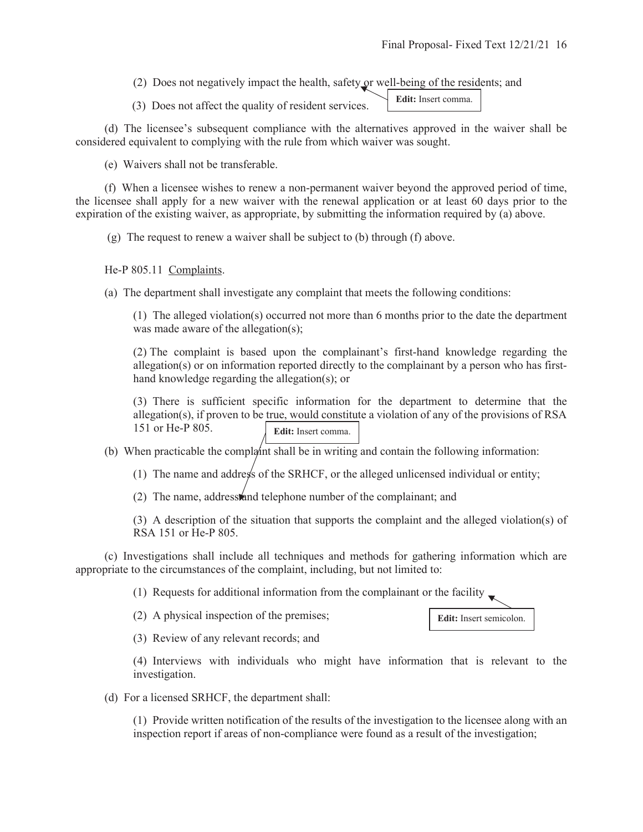(2) Does not negatively impact the health, safety or well-being of the residents; and

(3) Does not affect the quality of resident services. **Edit:** Insert comma.

 (d) The licensee's subsequent compliance with the alternatives approved in the waiver shall be considered equivalent to complying with the rule from which waiver was sought.

(e) Waivers shall not be transferable.

 (f) When a licensee wishes to renew a non-permanent waiver beyond the approved period of time, the licensee shall apply for a new waiver with the renewal application or at least 60 days prior to the expiration of the existing waiver, as appropriate, by submitting the information required by (a) above.

(g) The request to renew a waiver shall be subject to (b) through (f) above.

He-P 805.11 Complaints.

(a) The department shall investigate any complaint that meets the following conditions:

(1) The alleged violation(s) occurred not more than 6 months prior to the date the department was made aware of the allegation(s);

(2) The complaint is based upon the complainant's first-hand knowledge regarding the allegation(s) or on information reported directly to the complainant by a person who has firsthand knowledge regarding the allegation(s); or

(3) There is sufficient specific information for the department to determine that the allegation(s), if proven to be true, would constitute a violation of any of the provisions of RSA 151 or He-P 805. **Edit:** Insert comma.

(b) When practicable the complaint shall be in writing and contain the following information:

(1) The name and address of the SRHCF, or the alleged unlicensed individual or entity;

(2) The name, addresstand telephone number of the complainant; and

(3) A description of the situation that supports the complaint and the alleged violation(s) of RSA 151 or He-P 805.

 (c) Investigations shall include all techniques and methods for gathering information which are appropriate to the circumstances of the complaint, including, but not limited to:

(1) Requests for additional information from the complainant or the facility

(2) A physical inspection of the premises;



(3) Review of any relevant records; and

(4) Interviews with individuals who might have information that is relevant to the investigation.

(d) For a licensed SRHCF, the department shall:

(1) Provide written notification of the results of the investigation to the licensee along with an inspection report if areas of non-compliance were found as a result of the investigation;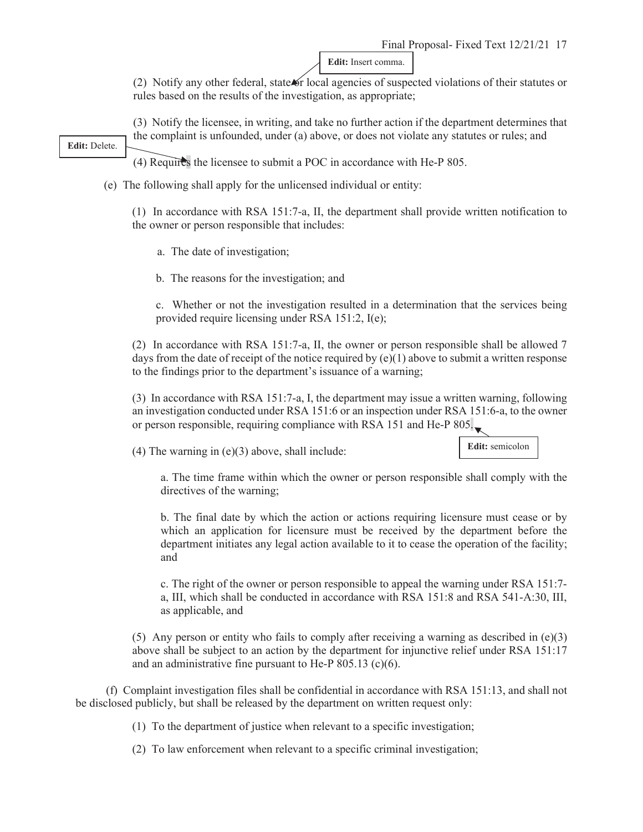**Edit:** Insert comma.

(2) Notify any other federal, state or local agencies of suspected violations of their statutes or rules based on the results of the investigation, as appropriate;

(3) Notify the licensee, in writing, and take no further action if the department determines that the complaint is unfounded, under (a) above, or does not violate any statutes or rules; and

**Edit:** Delete.

(4) Requires the licensee to submit a POC in accordance with He-P 805.

(e) The following shall apply for the unlicensed individual or entity:

(1) In accordance with RSA 151:7-a, II, the department shall provide written notification to the owner or person responsible that includes:

a. The date of investigation;

b. The reasons for the investigation; and

c. Whether or not the investigation resulted in a determination that the services being provided require licensing under RSA 151:2, I(e);

(2) In accordance with RSA 151:7-a, II, the owner or person responsible shall be allowed 7 days from the date of receipt of the notice required by (e)(1) above to submit a written response to the findings prior to the department's issuance of a warning;

(3) In accordance with RSA 151:7-a, I, the department may issue a written warning, following an investigation conducted under RSA 151:6 or an inspection under RSA 151:6-a, to the owner or person responsible, requiring compliance with RSA 151 and He-P 805.

(4) The warning in  $(e)(3)$  above, shall include:

## **Edit:** semicolon

a. The time frame within which the owner or person responsible shall comply with the directives of the warning;

b. The final date by which the action or actions requiring licensure must cease or by which an application for licensure must be received by the department before the department initiates any legal action available to it to cease the operation of the facility; and

c. The right of the owner or person responsible to appeal the warning under RSA 151:7 a, III, which shall be conducted in accordance with RSA 151:8 and RSA 541-A:30, III, as applicable, and

(5) Any person or entity who fails to comply after receiving a warning as described in  $(e)(3)$ above shall be subject to an action by the department for injunctive relief under RSA 151:17 and an administrative fine pursuant to He-P 805.13 (c)(6).

(f) Complaint investigation files shall be confidential in accordance with RSA 151:13, and shall not be disclosed publicly, but shall be released by the department on written request only:

(1) To the department of justice when relevant to a specific investigation;

(2) To law enforcement when relevant to a specific criminal investigation;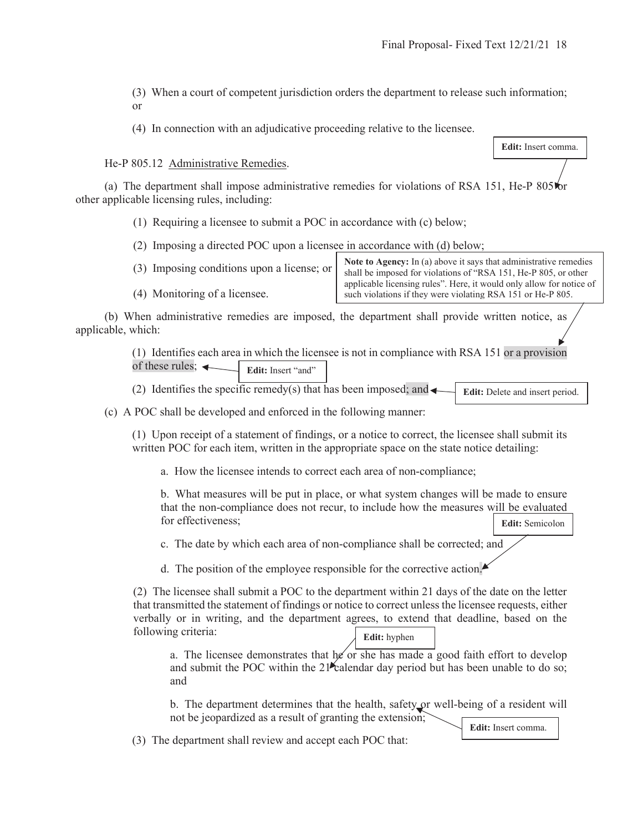**Edit:** Insert comma.

- (3) When a court of competent jurisdiction orders the department to release such information; or
- (4) In connection with an adjudicative proceeding relative to the licensee.

He-P 805.12 Administrative Remedies.

(4) Monitoring of a licensee.

(a) The department shall impose administrative remedies for violations of RSA 151, He-P  $805\,\mathrm{hr}$ other applicable licensing rules, including:

- (1) Requiring a licensee to submit a POC in accordance with (c) below;
- (2) Imposing a directed POC upon a licensee in accordance with (d) below;
- (3) Imposing conditions upon a license; or

**Note to Agency:** In (a) above it says that administrative remedies shall be imposed for violations of "RSA 151, He-P 805, or other applicable licensing rules". Here, it would only allow for notice of such violations if they were violating RSA 151 or He-P 805.

 (b) When administrative remedies are imposed, the department shall provide written notice, as applicable, which:

> (1) Identifies each area in which the licensee is not in compliance with RSA 151 or a provision of these rules:  $\leftarrow$ Edit: Insert "and"

(2) Identifies the specific remedy(s) that has been imposed; and  $\triangleleft$ **Edit:** Delete and insert period.

(c) A POC shall be developed and enforced in the following manner:

(1) Upon receipt of a statement of findings, or a notice to correct, the licensee shall submit its written POC for each item, written in the appropriate space on the state notice detailing:

a. How the licensee intends to correct each area of non-compliance;

b. What measures will be put in place, or what system changes will be made to ensure that the non-compliance does not recur, to include how the measures will be evaluated for effectiveness; **Edit:** Semicolon

c. The date by which each area of non-compliance shall be corrected; and

d. The position of the employee responsible for the corrective action.

(2) The licensee shall submit a POC to the department within 21 days of the date on the letter that transmitted the statement of findings or notice to correct unless the licensee requests, either verbally or in writing, and the department agrees, to extend that deadline, based on the following criteria: **Edit:** hyphen

a. The licensee demonstrates that he or she has made a good faith effort to develop and submit the POC within the  $21^{\circ}$  calendar day period but has been unable to do so; and

b. The department determines that the health, safety or well-being of a resident will not be jeopardized as a result of granting the extension;

(3) The department shall review and accept each POC that:

**Edit:** Insert comma.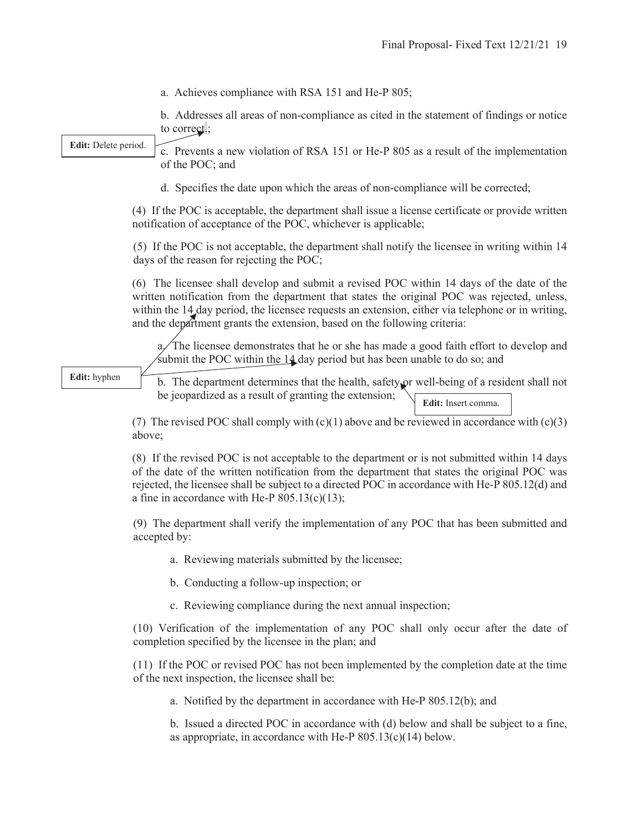a. Achieves compliance with RSA 151 and He-P 805;

b. Addresses all areas of non-compliance as cited in the statement of findings or notice to correct.;

**Edit:** Delete period.

c. Prevents a new violation of RSA 151 or He-P 805 as a result of the implementation of the POC; and

d. Specifies the date upon which the areas of non-compliance will be corrected;

(4) If the POC is acceptable, the department shall issue a license certificate or provide written notification of acceptance of the POC, whichever is applicable;

(5) If the POC is not acceptable, the department shall notify the licensee in writing within 14 days of the reason for rejecting the POC;

(6) The licensee shall develop and submit a revised POC within 14 days of the date of the written notification from the department that states the original POC was rejected, unless, within the 14 day period, the licensee requests an extension, either via telephone or in writing, and the department grants the extension, based on the following criteria:

 $a$ . The licensee demonstrates that he or she has made a good faith effort to develop and submit the POC within the  $14$  day period but has been unable to do so; and

**Edit:** hyphen

b. The department determines that the health, safety or well-being of a resident shall not be jeopardized as a result of granting the extension; **Edit:** Insert comma.

(7) The revised POC shall comply with  $(c)(1)$  above and be reviewed in accordance with  $(c)(3)$ above;

(8) If the revised POC is not acceptable to the department or is not submitted within 14 days of the date of the written notification from the department that states the original POC was rejected, the licensee shall be subject to a directed POC in accordance with He-P 805.12(d) and a fine in accordance with He-P  $805.13(c)(13)$ ;

(9) The department shall verify the implementation of any POC that has been submitted and accepted by:

- a. Reviewing materials submitted by the licensee;
- b. Conducting a follow-up inspection; or
- c. Reviewing compliance during the next annual inspection;

(10) Verification of the implementation of any POC shall only occur after the date of completion specified by the licensee in the plan; and

(11) If the POC or revised POC has not been implemented by the completion date at the time of the next inspection, the licensee shall be:

a. Notified by the department in accordance with He-P 805.12(b); and

b. Issued a directed POC in accordance with (d) below and shall be subject to a fine, as appropriate, in accordance with He-P  $805.13(c)(14)$  below.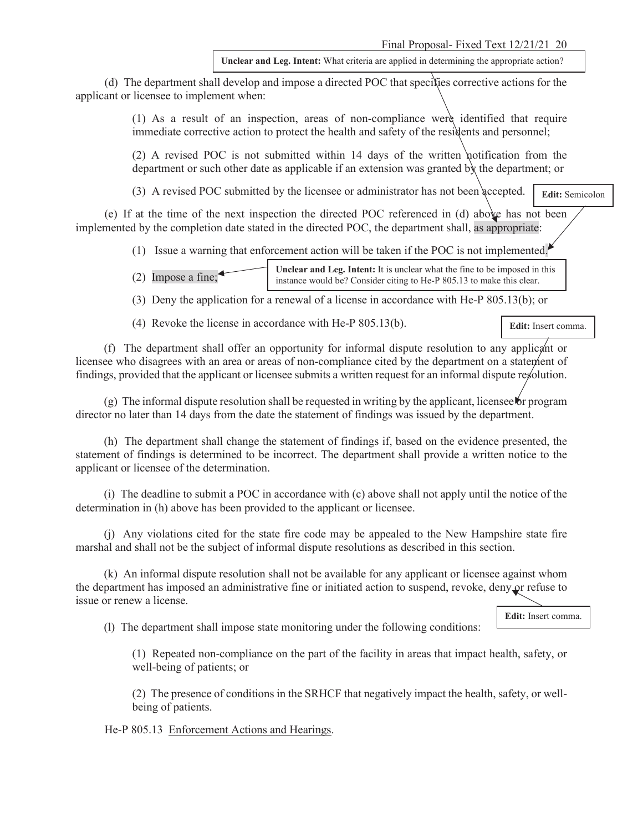**Unclear and Leg. Intent:** What criteria are applied in determining the appropriate action?

 (d) The department shall develop and impose a directed POC that specifies corrective actions for the applicant or licensee to implement when:

> (1) As a result of an inspection, areas of non-compliance were identified that require immediate corrective action to protect the health and safety of the residents and personnel;

> (2) A revised POC is not submitted within 14 days of the written notification from the department or such other date as applicable if an extension was granted by the department; or

(3) A revised POC submitted by the licensee or administrator has not been accepted.

**Edit:** Semicolon

 (e) If at the time of the next inspection the directed POC referenced in (d) above has not been implemented by the completion date stated in the directed POC, the department shall, as appropriate:

(1) Issue a warning that enforcement action will be taken if the POC is not implemented.

(2) Impose a fine; **Unclear and Leg. Intent:** It is unclear what the fine to be imposed in this instance would be? Consider citing to He-P 805.13 to make this clear.

(3) Deny the application for a renewal of a license in accordance with He-P 805.13(b); or

(4) Revoke the license in accordance with He-P 805.13(b).

**Edit:** Insert comma.

 (f) The department shall offer an opportunity for informal dispute resolution to any applicant or licensee who disagrees with an area or areas of non-compliance cited by the department on a statement of findings, provided that the applicant or licensee submits a written request for an informal dispute resolution.

 $(g)$  The informal dispute resolution shall be requested in writing by the applicant, licensee or program director no later than 14 days from the date the statement of findings was issued by the department.

 (h) The department shall change the statement of findings if, based on the evidence presented, the statement of findings is determined to be incorrect. The department shall provide a written notice to the applicant or licensee of the determination.

 (i) The deadline to submit a POC in accordance with (c) above shall not apply until the notice of the determination in (h) above has been provided to the applicant or licensee.

 (j) Any violations cited for the state fire code may be appealed to the New Hampshire state fire marshal and shall not be the subject of informal dispute resolutions as described in this section.

 (k) An informal dispute resolution shall not be available for any applicant or licensee against whom the department has imposed an administrative fine or initiated action to suspend, revoke, deny or refuse to issue or renew a license.

**Edit:** Insert comma.

(l) The department shall impose state monitoring under the following conditions:

(1) Repeated non-compliance on the part of the facility in areas that impact health, safety, or well-being of patients; or

(2) The presence of conditions in the SRHCF that negatively impact the health, safety, or wellbeing of patients.

He-P 805.13 Enforcement Actions and Hearings.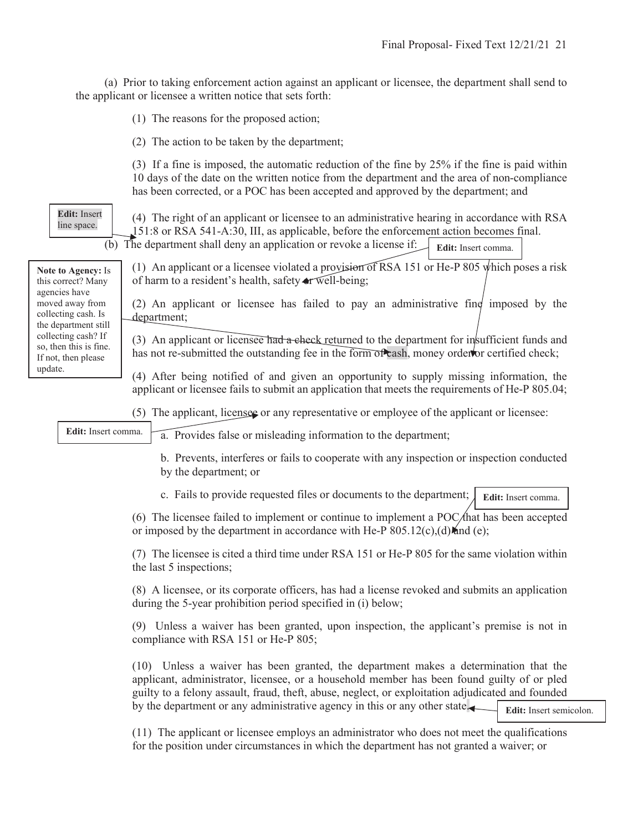(a) Prior to taking enforcement action against an applicant or licensee, the department shall send to the applicant or licensee a written notice that sets forth:

(1) The reasons for the proposed action;

(2) The action to be taken by the department;

(3) If a fine is imposed, the automatic reduction of the fine by 25% if the fine is paid within 10 days of the date on the written notice from the department and the area of non-compliance has been corrected, or a POC has been accepted and approved by the department; and

**Edit:** Insert line space.

(4) The right of an applicant or licensee to an administrative hearing in accordance with RSA 151:8 or RSA 541-A:30, III, as applicable, before the enforcement action becomes final.

 (b) The department shall deny an application or revoke a license if: **Edit:** Insert comma.

**Note to Agency:** Is this correct? Many agencies have moved away from collecting cash. Is the department still collecting cash? If so, then this is fine. If not, then please update.

(1) An applicant or a licensee violated a provision of RSA 151 or He-P 805 which poses a risk of harm to a resident's health, safety or well-being;

(2) An applicant or licensee has failed to pay an administrative fine imposed by the department;

(3) An applicant or licensee had a check returned to the department for insufficient funds and has not re-submitted the outstanding fee in the form of cash, money order for certified check;

(4) After being notified of and given an opportunity to supply missing information, the applicant or licensee fails to submit an application that meets the requirements of He-P 805.04;

(5) The applicant, licensee or any representative or employee of the applicant or licensee:

**Edit:** Insert comma.

a. Provides false or misleading information to the department;

b. Prevents, interferes or fails to cooperate with any inspection or inspection conducted by the department; or

c. Fails to provide requested files or documents to the department; **Edit:** Insert comma.

(6) The licensee failed to implement or continue to implement a POC/ $\theta$  hat has been accepted or imposed by the department in accordance with He-P  $805.12(c)$ , (d) and (e);

(7) The licensee is cited a third time under RSA 151 or He-P 805 for the same violation within the last 5 inspections;

(8) A licensee, or its corporate officers, has had a license revoked and submits an application during the 5-year prohibition period specified in (i) below;

(9) Unless a waiver has been granted, upon inspection, the applicant's premise is not in compliance with RSA 151 or He-P 805;

(10) Unless a waiver has been granted, the department makes a determination that the applicant, administrator, licensee, or a household member has been found guilty of or pled guilty to a felony assault, fraud, theft, abuse, neglect, or exploitation adjudicated and founded by the department or any administrative agency in this or any other state.

**Edit:** Insert semicolon.

(11) The applicant or licensee employs an administrator who does not meet the qualifications for the position under circumstances in which the department has not granted a waiver; or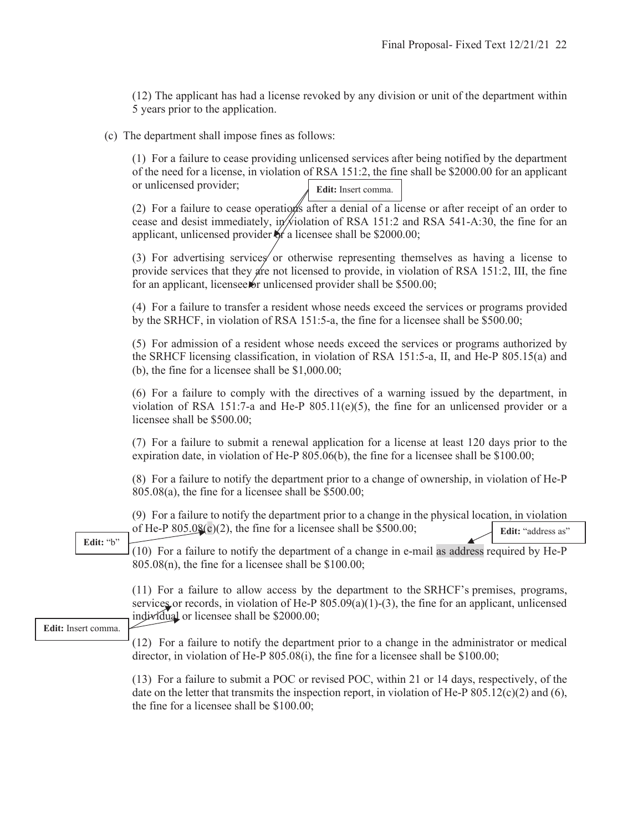(12) The applicant has had a license revoked by any division or unit of the department within 5 years prior to the application.

(c) The department shall impose fines as follows:

(1) For a failure to cease providing unlicensed services after being notified by the department of the need for a license, in violation of RSA 151:2, the fine shall be \$2000.00 for an applicant or unlicensed provider; **Edit:** Insert comma.

(2) For a failure to cease operations after a denial of a license or after receipt of an order to cease and desist immediately, in wiolation of RSA 151:2 and RSA 541-A:30, the fine for an applicant, unlicensed provider  $\frac{1}{2}$  a licensee shall be \$2000.00;

(3) For advertising services or otherwise representing themselves as having a license to provide services that they are not licensed to provide, in violation of RSA 151:2, III, the fine for an applicant, licensee for unlicensed provider shall be  $$500.00;$ 

(4) For a failure to transfer a resident whose needs exceed the services or programs provided by the SRHCF, in violation of RSA 151:5-a, the fine for a licensee shall be \$500.00;

(5) For admission of a resident whose needs exceed the services or programs authorized by the SRHCF licensing classification, in violation of RSA 151:5-a, II, and He-P 805.15(a) and (b), the fine for a licensee shall be \$1,000.00;

(6) For a failure to comply with the directives of a warning issued by the department, in violation of RSA 151:7-a and He-P  $805.11(e)(5)$ , the fine for an unlicensed provider or a licensee shall be \$500.00;

(7) For a failure to submit a renewal application for a license at least 120 days prior to the expiration date, in violation of He-P 805.06(b), the fine for a licensee shall be \$100.00;

(8) For a failure to notify the department prior to a change of ownership, in violation of He-P 805.08(a), the fine for a licensee shall be \$500.00;

(9) For a failure to notify the department prior to a change in the physical location, in violation of He-P  $805.0\frac{8}{3}$ (c)(2), the fine for a licensee shall be \$500.00; **Edit:** "address as"

(10) For a failure to notify the department of a change in e-mail as address required by He-P  $805.08(n)$ , the fine for a licensee shall be \$100.00; **Edit:** "b"

> (11) For a failure to allow access by the department to the SRHCF's premises, programs, services or records, in violation of He-P  $805.09(a)(1)-(3)$ , the fine for an applicant, unlicensed individual or licensee shall be \$2000.00;

**Edit:** Insert comma.

(12) For a failure to notify the department prior to a change in the administrator or medical director, in violation of He-P 805.08(i), the fine for a licensee shall be \$100.00;

(13) For a failure to submit a POC or revised POC, within 21 or 14 days, respectively, of the date on the letter that transmits the inspection report, in violation of He-P  $805.12(c)(2)$  and  $(6)$ , the fine for a licensee shall be \$100.00;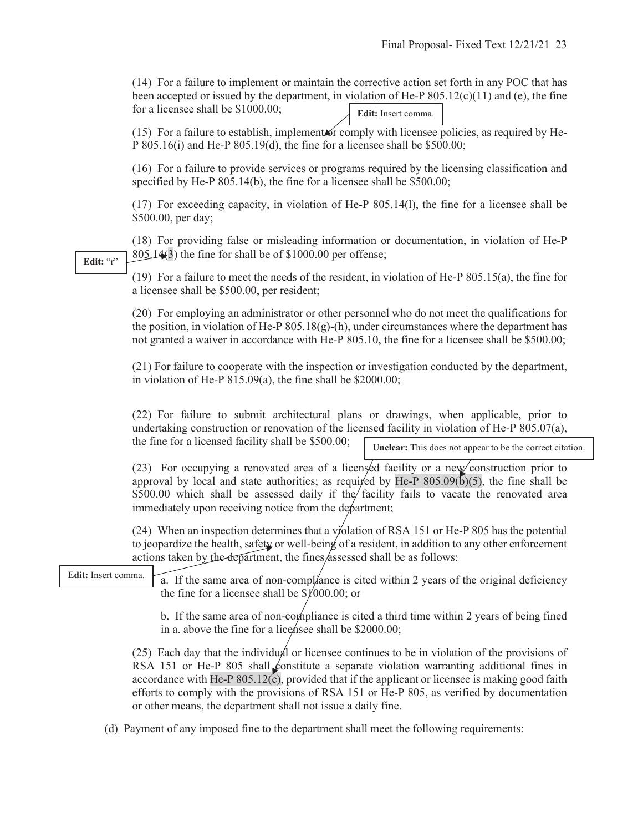(14) For a failure to implement or maintain the corrective action set forth in any POC that has been accepted or issued by the department, in violation of He-P  $805.12(c)(11)$  and (e), the fine for a licensee shall be \$1000.00; **Edit:** Insert comma.

 $(15)$  For a failure to establish, implement or comply with licensee policies, as required by He-P 805.16(i) and He-P 805.19(d), the fine for a licensee shall be \$500.00;

(16) For a failure to provide services or programs required by the licensing classification and specified by He-P 805.14(b), the fine for a licensee shall be \$500.00;

(17) For exceeding capacity, in violation of He-P 805.14(l), the fine for a licensee shall be \$500.00, per day;

(18) For providing false or misleading information or documentation, in violation of He-P 805.14(3) the fine for shall be of \$1000.00 per offense;

**Edit:** "r"

(19) For a failure to meet the needs of the resident, in violation of He-P 805.15(a), the fine for a licensee shall be \$500.00, per resident;

(20) For employing an administrator or other personnel who do not meet the qualifications for the position, in violation of He-P  $805.18(g)$ -(h), under circumstances where the department has not granted a waiver in accordance with He-P 805.10, the fine for a licensee shall be \$500.00;

(21) For failure to cooperate with the inspection or investigation conducted by the department, in violation of He-P 815.09(a), the fine shall be \$2000.00;

(22) For failure to submit architectural plans or drawings, when applicable, prior to undertaking construction or renovation of the licensed facility in violation of He-P 805.07(a), the fine for a licensed facility shall be \$500.00;

**Unclear:** This does not appear to be the correct citation.

(23) For occupying a renovated area of a licensed facility or a new construction prior to approval by local and state authorities; as required by He-P  $805.09(6)(5)$ , the fine shall be \$500.00 which shall be assessed daily if the facility fails to vacate the renovated area immediately upon receiving notice from the department;

(24) When an inspection determines that a violation of RSA 151 or He-P 805 has the potential to jeopardize the health, safety or well-being of a resident, in addition to any other enforcement actions taken by the department, the fines assessed shall be as follows:

**Edit:** Insert comma.

a. If the same area of non-compliance is cited within 2 years of the original deficiency the fine for a licensee shall be  $\frac{\sqrt{000.00}}{000.00}$ ; or

b. If the same area of non-compliance is cited a third time within 2 years of being fined in a. above the fine for a lice has shall be  $$2000.00;$ 

(25) Each day that the individual or licensee continues to be in violation of the provisions of RSA 151 or He-P 805 shall constitute a separate violation warranting additional fines in accordance with He-P 805.12(c), provided that if the applicant or licensee is making good faith efforts to comply with the provisions of RSA 151 or He-P 805, as verified by documentation or other means, the department shall not issue a daily fine.

(d) Payment of any imposed fine to the department shall meet the following requirements: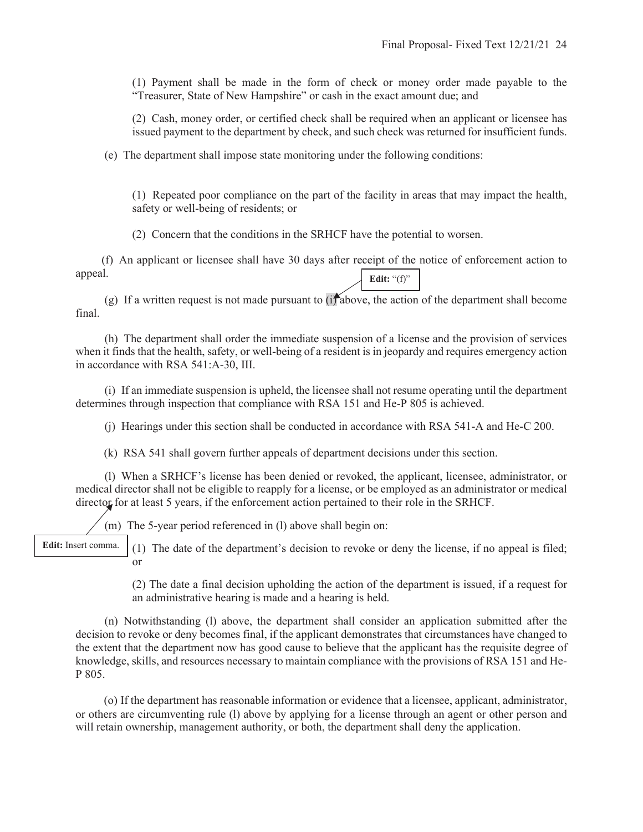(1) Payment shall be made in the form of check or money order made payable to the "Treasurer, State of New Hampshire" or cash in the exact amount due; and

(2) Cash, money order, or certified check shall be required when an applicant or licensee has issued payment to the department by check, and such check was returned for insufficient funds.

(e) The department shall impose state monitoring under the following conditions:

(1) Repeated poor compliance on the part of the facility in areas that may impact the health, safety or well-being of residents; or

(2) Concern that the conditions in the SRHCF have the potential to worsen.

 (f) An applicant or licensee shall have 30 days after receipt of the notice of enforcement action to appeal. **Edit:** "(f)"

(g) If a written request is not made pursuant to (if above, the action of the department shall become final.

 (h) The department shall order the immediate suspension of a license and the provision of services when it finds that the health, safety, or well-being of a resident is in jeopardy and requires emergency action in accordance with RSA 541:A-30, III.

 (i) If an immediate suspension is upheld, the licensee shall not resume operating until the department determines through inspection that compliance with RSA 151 and He-P 805 is achieved.

(j) Hearings under this section shall be conducted in accordance with RSA 541-A and He-C 200.

(k) RSA 541 shall govern further appeals of department decisions under this section.

 (l) When a SRHCF's license has been denied or revoked, the applicant, licensee, administrator, or medical director shall not be eligible to reapply for a license, or be employed as an administrator or medical director for at least 5 years, if the enforcement action pertained to their role in the SRHCF.

(m) The 5-year period referenced in (l) above shall begin on:

**Edit:** Insert comma.

(1) The date of the department's decision to revoke or deny the license, if no appeal is filed; or

(2) The date a final decision upholding the action of the department is issued, if a request for an administrative hearing is made and a hearing is held.

 (n) Notwithstanding (l) above, the department shall consider an application submitted after the decision to revoke or deny becomes final, if the applicant demonstrates that circumstances have changed to the extent that the department now has good cause to believe that the applicant has the requisite degree of knowledge, skills, and resources necessary to maintain compliance with the provisions of RSA 151 and He-P 805.

(o) If the department has reasonable information or evidence that a licensee, applicant, administrator, or others are circumventing rule (l) above by applying for a license through an agent or other person and will retain ownership, management authority, or both, the department shall deny the application.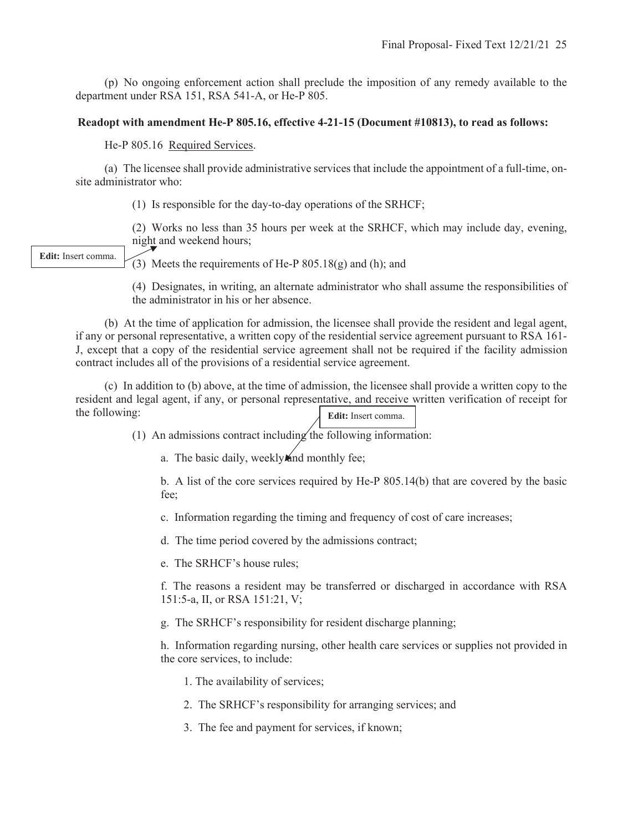(p) No ongoing enforcement action shall preclude the imposition of any remedy available to the department under RSA 151, RSA 541-A, or He-P 805.

### **Readopt with amendment He-P 805.16, effective 4-21-15 (Document #10813), to read as follows:**

He-P 805.16 Required Services.

 (a) The licensee shall provide administrative services that include the appointment of a full-time, onsite administrator who:

(1) Is responsible for the day-to-day operations of the SRHCF;

(2) Works no less than 35 hours per week at the SRHCF, which may include day, evening, night and weekend hours;

**Edit:** Insert comma.

(3) Meets the requirements of He-P  $805.18(g)$  and (h); and

(4) Designates, in writing, an alternate administrator who shall assume the responsibilities of the administrator in his or her absence.

 (b) At the time of application for admission, the licensee shall provide the resident and legal agent, if any or personal representative, a written copy of the residential service agreement pursuant to RSA 161- J, except that a copy of the residential service agreement shall not be required if the facility admission contract includes all of the provisions of a residential service agreement.

 (c) In addition to (b) above, at the time of admission, the licensee shall provide a written copy to the resident and legal agent, if any, or personal representative, and receive written verification of receipt for the following: **Edit:** Insert comma.

(1) An admissions contract including the following information:

a. The basic daily, weekly and monthly fee;

b. A list of the core services required by He-P 805.14(b) that are covered by the basic fee;

c. Information regarding the timing and frequency of cost of care increases;

d. The time period covered by the admissions contract;

e. The SRHCF's house rules;

f. The reasons a resident may be transferred or discharged in accordance with RSA 151:5-a, II, or RSA 151:21, V;

g. The SRHCF's responsibility for resident discharge planning;

h. Information regarding nursing, other health care services or supplies not provided in the core services, to include:

1. The availability of services;

2. The SRHCF's responsibility for arranging services; and

3. The fee and payment for services, if known;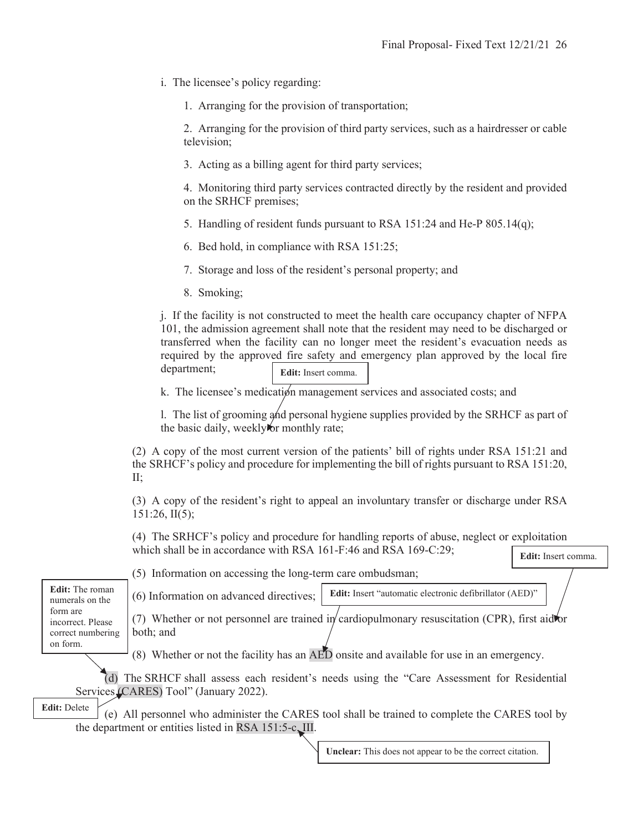i. The licensee's policy regarding:

1. Arranging for the provision of transportation;

2. Arranging for the provision of third party services, such as a hairdresser or cable television;

3. Acting as a billing agent for third party services;

4. Monitoring third party services contracted directly by the resident and provided on the SRHCF premises;

- 5. Handling of resident funds pursuant to RSA 151:24 and He-P 805.14(q);
- 6. Bed hold, in compliance with RSA 151:25;
- 7. Storage and loss of the resident's personal property; and
- 8. Smoking;

j. If the facility is not constructed to meet the health care occupancy chapter of NFPA 101, the admission agreement shall note that the resident may need to be discharged or transferred when the facility can no longer meet the resident's evacuation needs as required by the approved fire safety and emergency plan approved by the local fire department; **Edit:** Insert comma.

k. The licensee's medication management services and associated costs; and

l. The list of grooming and personal hygiene supplies provided by the SRHCF as part of the basic daily, weekly for monthly rate;

(2) A copy of the most current version of the patients' bill of rights under RSA 151:21 and the SRHCF's policy and procedure for implementing the bill of rights pursuant to RSA 151:20, II;

(3) A copy of the resident's right to appeal an involuntary transfer or discharge under RSA 151:26, II(5);

(4) The SRHCF's policy and procedure for handling reports of abuse, neglect or exploitation which shall be in accordance with RSA 161-F:46 and RSA 169-C:29;

**Edit:** Insert comma.

**Edit:** The roman numerals on the form are incorrect. Please correct numbering on form.

(5) Information on accessing the long-term care ombudsman;

(6) Information on advanced directives; **Edit:** Insert "automatic electronic defibrillator (AED)"

(7) Whether or not personnel are trained in cardiopulmonary resuscitation (CPR), first aid for both; and

(8) Whether or not the facility has an AED onsite and available for use in an emergency.

 (d) The SRHCF shall assess each resident's needs using the "Care Assessment for Residential Services (CARES) Tool" (January 2022).

 (e) All personnel who administer the CARES tool shall be trained to complete the CARES tool by the department or entities listed in RSA 151:5-c, III. **Edit:** Delete

**Unclear:** This does not appear to be the correct citation.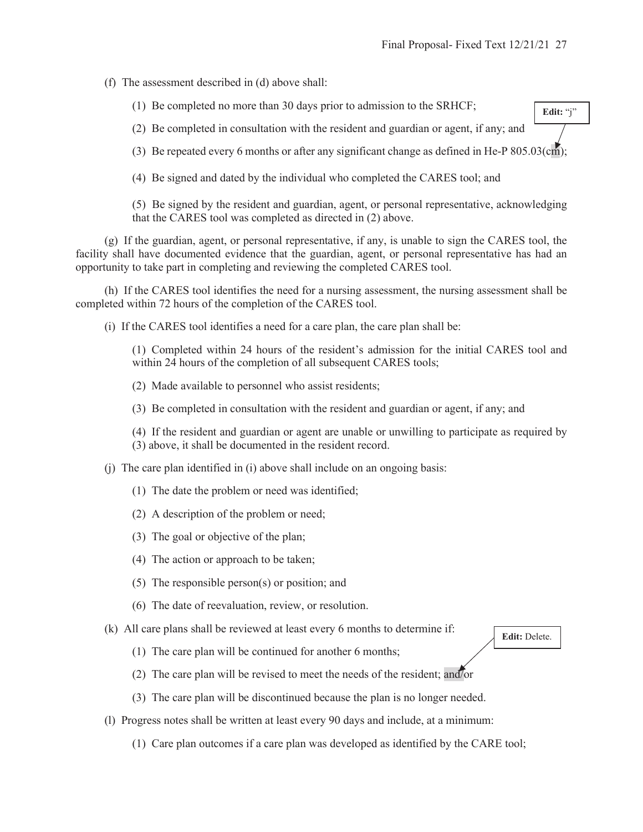**Edit:** "j"

(f) The assessment described in (d) above shall:

(1) Be completed no more than 30 days prior to admission to the SRHCF;

(2) Be completed in consultation with the resident and guardian or agent, if any; and

(3) Be repeated every 6 months or after any significant change as defined in He-P 805.03(cm);

(4) Be signed and dated by the individual who completed the CARES tool; and

(5) Be signed by the resident and guardian, agent, or personal representative, acknowledging that the CARES tool was completed as directed in (2) above.

 (g) If the guardian, agent, or personal representative, if any, is unable to sign the CARES tool, the facility shall have documented evidence that the guardian, agent, or personal representative has had an opportunity to take part in completing and reviewing the completed CARES tool.

 (h) If the CARES tool identifies the need for a nursing assessment, the nursing assessment shall be completed within 72 hours of the completion of the CARES tool.

(i) If the CARES tool identifies a need for a care plan, the care plan shall be:

(1) Completed within 24 hours of the resident's admission for the initial CARES tool and within 24 hours of the completion of all subsequent CARES tools;

(2) Made available to personnel who assist residents;

(3) Be completed in consultation with the resident and guardian or agent, if any; and

(4) If the resident and guardian or agent are unable or unwilling to participate as required by (3) above, it shall be documented in the resident record.

- (j) The care plan identified in (i) above shall include on an ongoing basis:
	- (1) The date the problem or need was identified;
	- (2) A description of the problem or need;
	- (3) The goal or objective of the plan;
	- (4) The action or approach to be taken;
	- (5) The responsible person(s) or position; and
	- (6) The date of reevaluation, review, or resolution.

(k) All care plans shall be reviewed at least every 6 months to determine if:

**Edit:** Delete.

- (1) The care plan will be continued for another 6 months;
- (2) The care plan will be revised to meet the needs of the resident; and/or
- (3) The care plan will be discontinued because the plan is no longer needed.
- (l) Progress notes shall be written at least every 90 days and include, at a minimum:
	- (1) Care plan outcomes if a care plan was developed as identified by the CARE tool;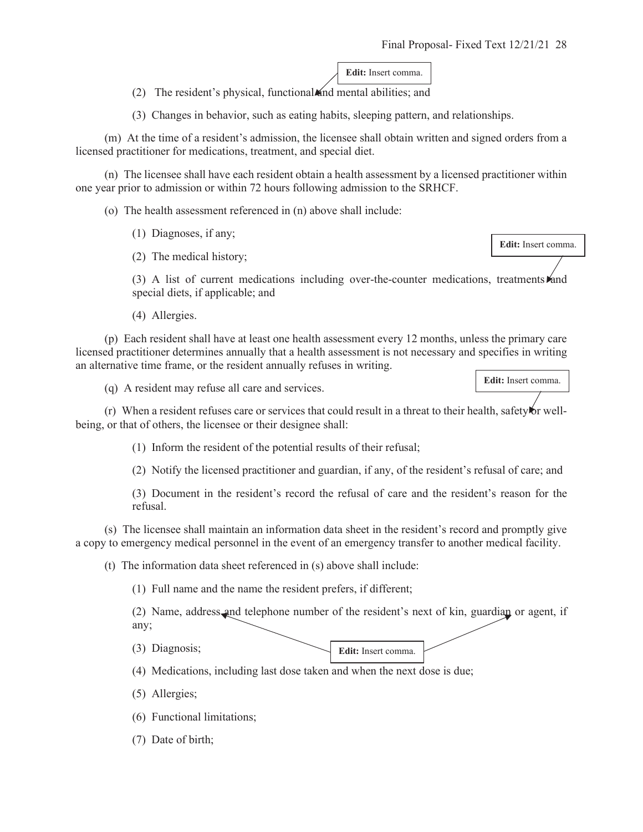**Edit:** Insert comma.

(2) The resident's physical, functional and mental abilities; and

(3) Changes in behavior, such as eating habits, sleeping pattern, and relationships.

 (m) At the time of a resident's admission, the licensee shall obtain written and signed orders from a licensed practitioner for medications, treatment, and special diet.

 (n) The licensee shall have each resident obtain a health assessment by a licensed practitioner within one year prior to admission or within 72 hours following admission to the SRHCF.

(o) The health assessment referenced in (n) above shall include:

(1) Diagnoses, if any;

(2) The medical history;

(3) A list of current medications including over-the-counter medications, treatments and special diets, if applicable; and

(4) Allergies.

 (p) Each resident shall have at least one health assessment every 12 months, unless the primary care licensed practitioner determines annually that a health assessment is not necessary and specifies in writing an alternative time frame, or the resident annually refuses in writing.

(q) A resident may refuse all care and services.

 $(r)$  When a resident refuses care or services that could result in a threat to their health, safety for wellbeing, or that of others, the licensee or their designee shall:

(1) Inform the resident of the potential results of their refusal;

(2) Notify the licensed practitioner and guardian, if any, of the resident's refusal of care; and

(3) Document in the resident's record the refusal of care and the resident's reason for the refusal.

 (s) The licensee shall maintain an information data sheet in the resident's record and promptly give a copy to emergency medical personnel in the event of an emergency transfer to another medical facility.

(t) The information data sheet referenced in (s) above shall include:

(1) Full name and the name the resident prefers, if different;

(2) Name, address and telephone number of the resident's next of kin, guardian or agent, if any;

(3) Diagnosis;

**Edit:** Insert comma.

(4) Medications, including last dose taken and when the next dose is due;

- (5) Allergies;
- (6) Functional limitations;
- (7) Date of birth;

**Edit:** Insert comma.

**Edit:** Insert comma.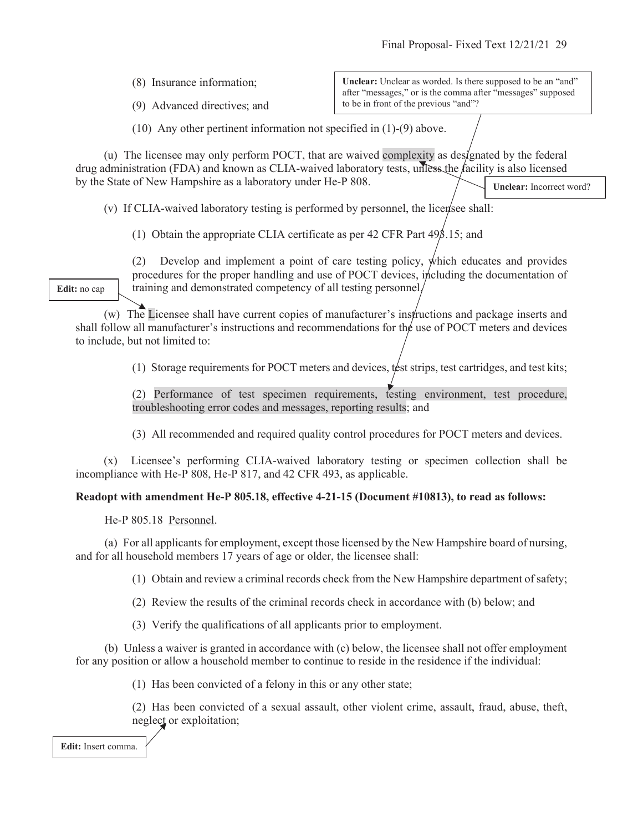(8) Insurance information;

(9) Advanced directives; and

**Unclear:** Unclear as worded. Is there supposed to be an "and" after "messages," or is the comma after "messages" supposed to be in front of the previous "and"?

(10) Any other pertinent information not specified in (1)-(9) above.

(u) The licensee may only perform POCT, that are waived complexity as designated by the federal drug administration (FDA) and known as CLIA-waived laboratory tests, unless the facility is also licensed by the State of New Hampshire as a laboratory under He-P 808. **Unclear:** Incorrect word?

(v) If CLIA-waived laboratory testing is performed by personnel, the licensee shall:

(1) Obtain the appropriate CLIA certificate as per 42 CFR Part 493.15; and

(2) Develop and implement a point of care testing policy, which educates and provides procedures for the proper handling and use of POCT devices, including the documentation of training and demonstrated competency of all testing personnel.

(w) The Licensee shall have current copies of manufacturer's instructions and package inserts and shall follow all manufacturer's instructions and recommendations for the use of POCT meters and devices to include, but not limited to:

(1) Storage requirements for POCT meters and devices, test strips, test cartridges, and test kits;

(2) Performance of test specimen requirements, testing environment, test procedure, troubleshooting error codes and messages, reporting results; and

(3) All recommended and required quality control procedures for POCT meters and devices.

(x) Licensee's performing CLIA-waived laboratory testing or specimen collection shall be incompliance with He-P 808, He-P 817, and 42 CFR 493, as applicable.

## **Readopt with amendment He-P 805.18, effective 4-21-15 (Document #10813), to read as follows:**

He-P 805.18 Personnel.

 (a) For all applicants for employment, except those licensed by the New Hampshire board of nursing, and for all household members 17 years of age or older, the licensee shall:

(1) Obtain and review a criminal records check from the New Hampshire department of safety;

(2) Review the results of the criminal records check in accordance with (b) below; and

(3) Verify the qualifications of all applicants prior to employment.

 (b) Unless a waiver is granted in accordance with (c) below, the licensee shall not offer employment for any position or allow a household member to continue to reside in the residence if the individual:

(1) Has been convicted of a felony in this or any other state;

(2) Has been convicted of a sexual assault, other violent crime, assault, fraud, abuse, theft, neglect or exploitation;

**Edit:** Insert comma.

**Edit:** no cap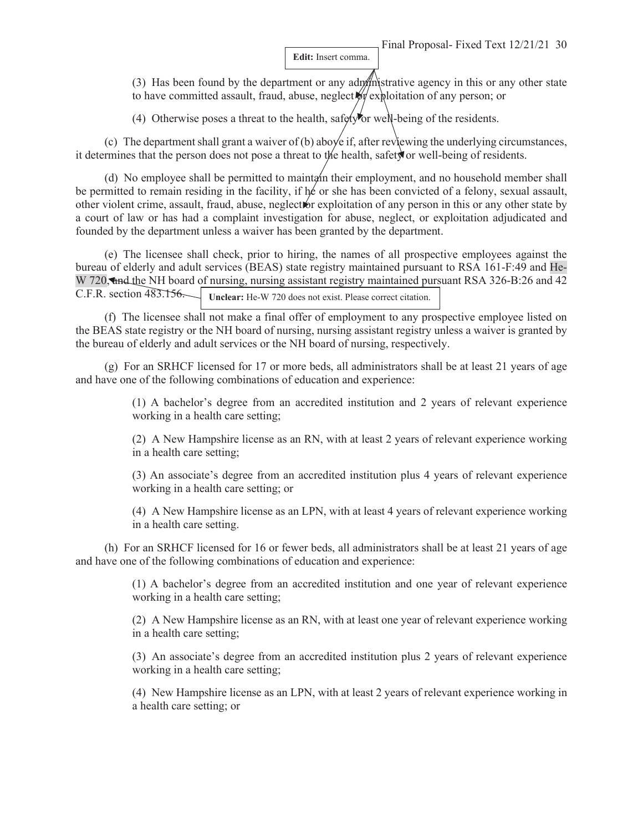**Edit:** Insert comma.

(3) Has been found by the department or any administrative agency in this or any other state to have committed assault, fraud, abuse, neglect  $\mathcal{W}$  exploitation of any person; or

(4) Otherwise poses a threat to the health, safety or well-being of the residents.

(c) The department shall grant a waiver of (b) aboye if, after reviewing the underlying circumstances, it determines that the person does not pose a threat to the health, safety or well-being of residents.

(d) No employee shall be permitted to maintain their employment, and no household member shall be permitted to remain residing in the facility, if he or she has been convicted of a felony, sexual assault, other violent crime, assault, fraud, abuse, neglect or exploitation of any person in this or any other state by a court of law or has had a complaint investigation for abuse, neglect, or exploitation adjudicated and founded by the department unless a waiver has been granted by the department.

 (e) The licensee shall check, prior to hiring, the names of all prospective employees against the bureau of elderly and adult services (BEAS) state registry maintained pursuant to RSA 161-F:49 and He-W 720, and the NH board of nursing, nursing assistant registry maintained pursuant RSA 326-B:26 and 42 C.F.R. section 483.156. **Unclear:** He-W 720 does not exist. Please correct citation.

 (f) The licensee shall not make a final offer of employment to any prospective employee listed on the BEAS state registry or the NH board of nursing, nursing assistant registry unless a waiver is granted by the bureau of elderly and adult services or the NH board of nursing, respectively.

 (g) For an SRHCF licensed for 17 or more beds, all administrators shall be at least 21 years of age and have one of the following combinations of education and experience:

> (1) A bachelor's degree from an accredited institution and 2 years of relevant experience working in a health care setting;

> (2) A New Hampshire license as an RN, with at least 2 years of relevant experience working in a health care setting;

> (3) An associate's degree from an accredited institution plus 4 years of relevant experience working in a health care setting; or

> (4) A New Hampshire license as an LPN, with at least 4 years of relevant experience working in a health care setting.

 (h) For an SRHCF licensed for 16 or fewer beds, all administrators shall be at least 21 years of age and have one of the following combinations of education and experience:

> (1) A bachelor's degree from an accredited institution and one year of relevant experience working in a health care setting;

> (2) A New Hampshire license as an RN, with at least one year of relevant experience working in a health care setting;

> (3) An associate's degree from an accredited institution plus 2 years of relevant experience working in a health care setting;

> (4) New Hampshire license as an LPN, with at least 2 years of relevant experience working in a health care setting; or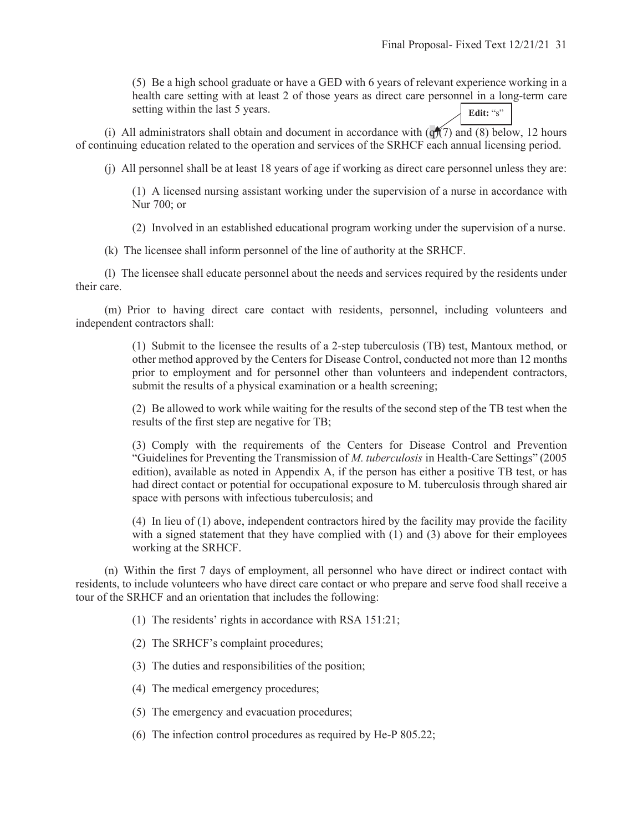(5) Be a high school graduate or have a GED with 6 years of relevant experience working in a health care setting with at least 2 of those years as direct care personnel in a long-term care setting within the last 5 years. **Edit:** "s"

(i) All administrators shall obtain and document in accordance with  $(q)(7)$  and (8) below, 12 hours of continuing education related to the operation and services of the SRHCF each annual licensing period.

(j) All personnel shall be at least 18 years of age if working as direct care personnel unless they are:

(1) A licensed nursing assistant working under the supervision of a nurse in accordance with Nur 700; or

(2) Involved in an established educational program working under the supervision of a nurse.

(k) The licensee shall inform personnel of the line of authority at the SRHCF.

 (l) The licensee shall educate personnel about the needs and services required by the residents under their care.

 (m) Prior to having direct care contact with residents, personnel, including volunteers and independent contractors shall:

> (1) Submit to the licensee the results of a 2-step tuberculosis (TB) test, Mantoux method, or other method approved by the Centers for Disease Control, conducted not more than 12 months prior to employment and for personnel other than volunteers and independent contractors, submit the results of a physical examination or a health screening;

> (2) Be allowed to work while waiting for the results of the second step of the TB test when the results of the first step are negative for TB;

> (3) Comply with the requirements of the Centers for Disease Control and Prevention "Guidelines for Preventing the Transmission of *M. tuberculosis* in Health-Care Settings" (2005 edition), available as noted in Appendix A, if the person has either a positive TB test, or has had direct contact or potential for occupational exposure to M. tuberculosis through shared air space with persons with infectious tuberculosis; and

> (4) In lieu of (1) above, independent contractors hired by the facility may provide the facility with a signed statement that they have complied with (1) and (3) above for their employees working at the SRHCF.

 (n) Within the first 7 days of employment, all personnel who have direct or indirect contact with residents, to include volunteers who have direct care contact or who prepare and serve food shall receive a tour of the SRHCF and an orientation that includes the following:

(1) The residents' rights in accordance with RSA 151:21;

(2) The SRHCF's complaint procedures;

(3) The duties and responsibilities of the position;

(4) The medical emergency procedures;

(5) The emergency and evacuation procedures;

(6) The infection control procedures as required by He-P 805.22;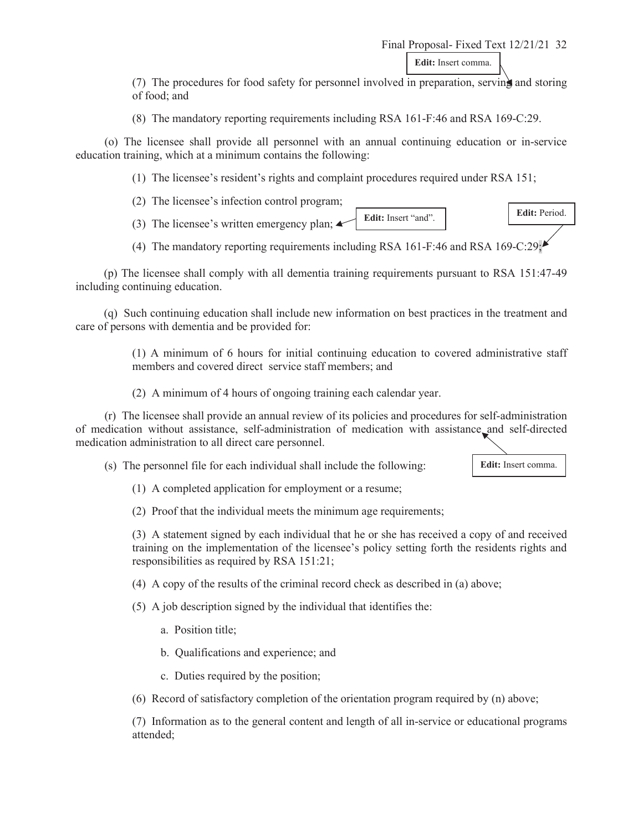Final Proposal- Fixed Text 12/21/21 32 **Edit:** Insert comma.

(7) The procedures for food safety for personnel involved in preparation, serving and storing of food; and

(8) The mandatory reporting requirements including RSA 161-F:46 and RSA 169-C:29.

 (o) The licensee shall provide all personnel with an annual continuing education or in-service education training, which at a minimum contains the following:

(1) The licensee's resident's rights and complaint procedures required under RSA 151;

(2) The licensee's infection control program;

- (3) The licensee's written emergency plan;  $\triangle$ **Edit:** Insert "and". **Edit:** Period.
- (4) The mandatory reporting requirements including RSA 161-F:46 and RSA 169-C:29;

(p) The licensee shall comply with all dementia training requirements pursuant to RSA 151:47-49 including continuing education.

(q) Such continuing education shall include new information on best practices in the treatment and care of persons with dementia and be provided for:

> (1) A minimum of 6 hours for initial continuing education to covered administrative staff members and covered direct service staff members; and

(2) A minimum of 4 hours of ongoing training each calendar year.

 (r) The licensee shall provide an annual review of its policies and procedures for self-administration of medication without assistance, self-administration of medication with assistance and self-directed medication administration to all direct care personnel.

(s) The personnel file for each individual shall include the following:



(1) A completed application for employment or a resume;

(2) Proof that the individual meets the minimum age requirements;

(3) A statement signed by each individual that he or she has received a copy of and received training on the implementation of the licensee's policy setting forth the residents rights and responsibilities as required by RSA 151:21;

(4) A copy of the results of the criminal record check as described in (a) above;

(5) A job description signed by the individual that identifies the:

- a. Position title;
- b. Qualifications and experience; and
- c. Duties required by the position;

(6) Record of satisfactory completion of the orientation program required by (n) above;

(7) Information as to the general content and length of all in-service or educational programs attended;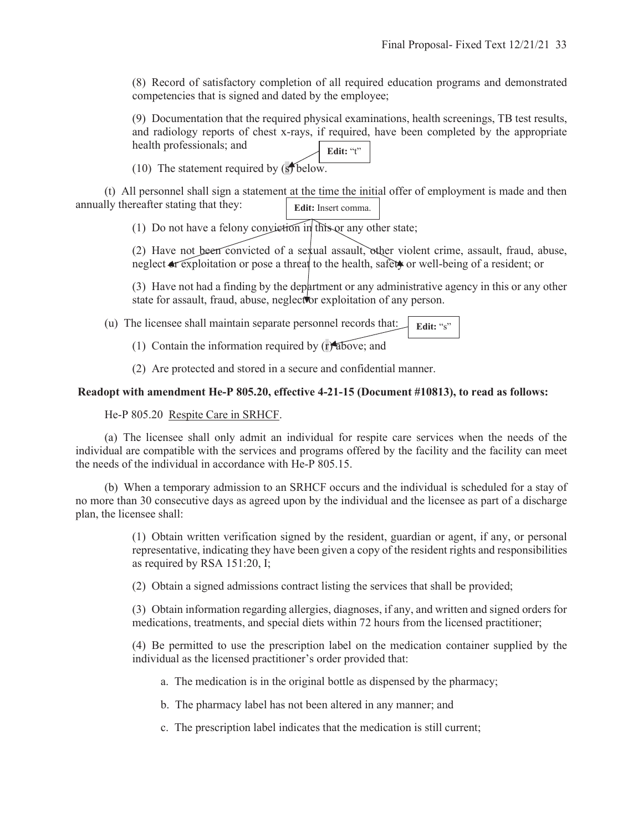(8) Record of satisfactory completion of all required education programs and demonstrated competencies that is signed and dated by the employee;

(9) Documentation that the required physical examinations, health screenings, TB test results, and radiology reports of chest x-rays, if required, have been completed by the appropriate health professionals; and **Edit:** "t"

(10) The statement required by  $(s)$  below.

 (t) All personnel shall sign a statement at the time the initial offer of employment is made and then annually thereafter stating that they: **Edit:** Insert comma.

(1) Do not have a felony conviction in this or any other state;

(2) Have not been convicted of a sexual assault, other violent crime, assault, fraud, abuse, neglect ar exploitation or pose a threat to the health, safety or well-being of a resident; or

(3) Have not had a finding by the department or any administrative agency in this or any other state for assault, fraud, abuse, neglector exploitation of any person.

 (u) The licensee shall maintain separate personnel records that: **Edit:** "s"

(1) Contain the information required by (r) above; and

(2) Are protected and stored in a secure and confidential manner.

### **Readopt with amendment He-P 805.20, effective 4-21-15 (Document #10813), to read as follows:**

He-P 805.20 Respite Care in SRHCF.

 (a) The licensee shall only admit an individual for respite care services when the needs of the individual are compatible with the services and programs offered by the facility and the facility can meet the needs of the individual in accordance with He-P 805.15.

 (b) When a temporary admission to an SRHCF occurs and the individual is scheduled for a stay of no more than 30 consecutive days as agreed upon by the individual and the licensee as part of a discharge plan, the licensee shall:

> (1) Obtain written verification signed by the resident, guardian or agent, if any, or personal representative, indicating they have been given a copy of the resident rights and responsibilities as required by RSA 151:20, I;

(2) Obtain a signed admissions contract listing the services that shall be provided;

(3) Obtain information regarding allergies, diagnoses, if any, and written and signed orders for medications, treatments, and special diets within 72 hours from the licensed practitioner;

(4) Be permitted to use the prescription label on the medication container supplied by the individual as the licensed practitioner's order provided that:

- a. The medication is in the original bottle as dispensed by the pharmacy;
- b. The pharmacy label has not been altered in any manner; and
- c. The prescription label indicates that the medication is still current;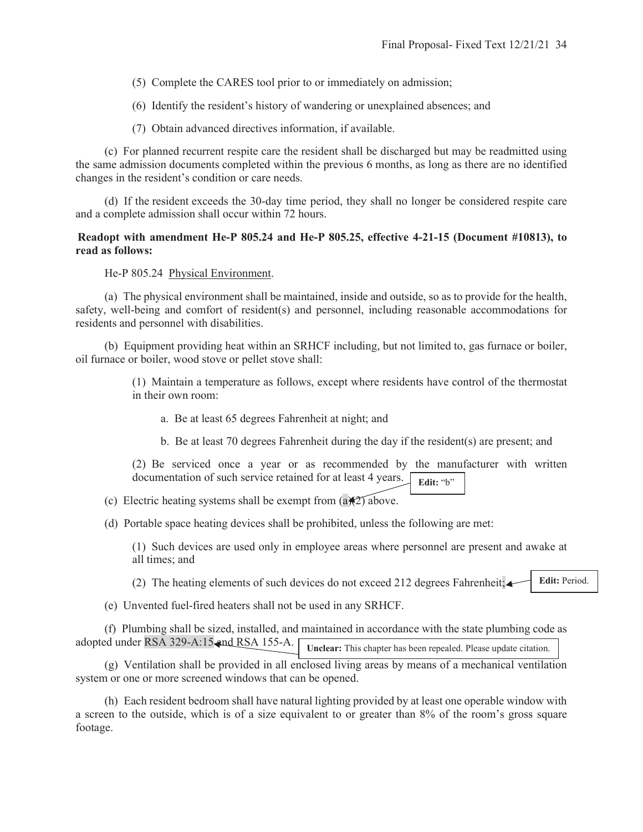- (5) Complete the CARES tool prior to or immediately on admission;
- (6) Identify the resident's history of wandering or unexplained absences; and
- (7) Obtain advanced directives information, if available.

 (c) For planned recurrent respite care the resident shall be discharged but may be readmitted using the same admission documents completed within the previous 6 months, as long as there are no identified changes in the resident's condition or care needs.

 (d) If the resident exceeds the 30-day time period, they shall no longer be considered respite care and a complete admission shall occur within 72 hours.

## **Readopt with amendment He-P 805.24 and He-P 805.25, effective 4-21-15 (Document #10813), to read as follows:**

He-P 805.24 Physical Environment.

 (a) The physical environment shall be maintained, inside and outside, so as to provide for the health, safety, well-being and comfort of resident(s) and personnel, including reasonable accommodations for residents and personnel with disabilities.

 (b) Equipment providing heat within an SRHCF including, but not limited to, gas furnace or boiler, oil furnace or boiler, wood stove or pellet stove shall:

> (1) Maintain a temperature as follows, except where residents have control of the thermostat in their own room:

- a. Be at least 65 degrees Fahrenheit at night; and
- b. Be at least 70 degrees Fahrenheit during the day if the resident(s) are present; and

(2) Be serviced once a year or as recommended by the manufacturer with written documentation of such service retained for at least 4 years. **Edit:** "b"

(c) Electric heating systems shall be exempt from  $(a)(2)$  above.

(d) Portable space heating devices shall be prohibited, unless the following are met:

(1) Such devices are used only in employee areas where personnel are present and awake at all times; and

(2) The heating elements of such devices do not exceed 212 degrees Fahrenheit; **Edit:** Period.

(e) Unvented fuel-fired heaters shall not be used in any SRHCF.

 (f) Plumbing shall be sized, installed, and maintained in accordance with the state plumbing code as adopted under RSA 329-A:15 and RSA 155-A. **Unclear:** This chapter has been repealed. Please update citation.

 (g) Ventilation shall be provided in all enclosed living areas by means of a mechanical ventilation system or one or more screened windows that can be opened.

 (h) Each resident bedroom shall have natural lighting provided by at least one operable window with a screen to the outside, which is of a size equivalent to or greater than 8% of the room's gross square footage.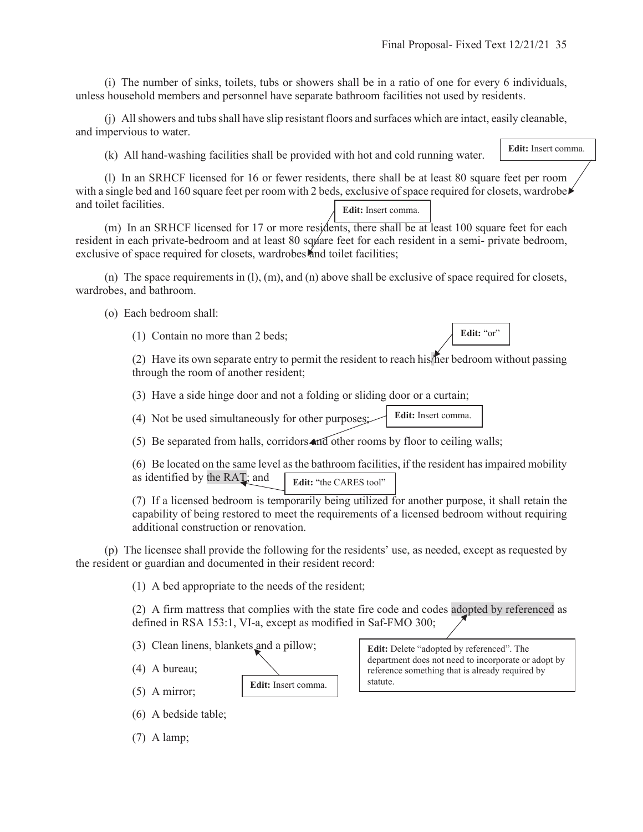**Edit:** Insert comma.

 (i) The number of sinks, toilets, tubs or showers shall be in a ratio of one for every 6 individuals, unless household members and personnel have separate bathroom facilities not used by residents.

 (j) All showers and tubs shall have slip resistant floors and surfaces which are intact, easily cleanable, and impervious to water.

(k) All hand-washing facilities shall be provided with hot and cold running water.

 (l) In an SRHCF licensed for 16 or fewer residents, there shall be at least 80 square feet per room with a single bed and 160 square feet per room with 2 beds, exclusive of space required for closets, wardrobe and toilet facilities. **Edit:** Insert comma.

 (m) In an SRHCF licensed for 17 or more residents, there shall be at least 100 square feet for each resident in each private-bedroom and at least 80 square feet for each resident in a semi- private bedroom, exclusive of space required for closets, wardrobes and toilet facilities;

 (n) The space requirements in (l), (m), and (n) above shall be exclusive of space required for closets, wardrobes, and bathroom.

(o) Each bedroom shall:

(1) Contain no more than 2 beds;

Edit: "or"

(2) Have its own separate entry to permit the resident to reach his/her bedroom without passing through the room of another resident;

(3) Have a side hinge door and not a folding or sliding door or a curtain;

(4) Not be used simultaneously for other purposes; **Edit:** Insert comma.

(5) Be separated from halls, corridors and other rooms by floor to ceiling walls;

(6) Be located on the same level as the bathroom facilities, if the resident has impaired mobility as identified by the RAT; and **Edit:** "the CARES tool"

(7) If a licensed bedroom is temporarily being utilized for another purpose, it shall retain the capability of being restored to meet the requirements of a licensed bedroom without requiring additional construction or renovation.

 (p) The licensee shall provide the following for the residents' use, as needed, except as requested by the resident or guardian and documented in their resident record:

(1) A bed appropriate to the needs of the resident;

(2) A firm mattress that complies with the state fire code and codes adopted by referenced as defined in RSA 153:1, VI-a, except as modified in Saf-FMO 300;

(3) Clean linens, blankets and a pillow;

(4) A bureau;

(5) A mirror;

**Edit:** Insert comma.

**Edit:** Delete "adopted by referenced". The department does not need to incorporate or adopt by reference something that is already required by statute.

(6) A bedside table;

(7) A lamp;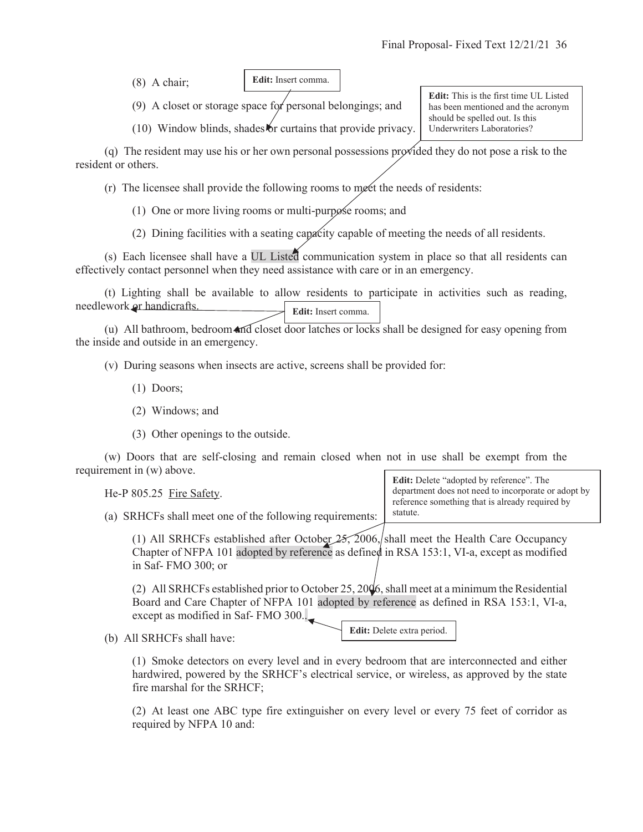(8) A chair;

**Edit:** Insert comma.

(9) A closet or storage space for personal belongings; and

(10) Window blinds, shades or curtains that provide privacy.

**Edit:** This is the first time UL Listed has been mentioned and the acronym should be spelled out. Is this Underwriters Laboratories?

(q) The resident may use his or her own personal possessions provided they do not pose a risk to the resident or others.

(r) The licensee shall provide the following rooms to meet the needs of residents:

(1) One or more living rooms or multi-purpose rooms; and

(2) Dining facilities with a seating capacity capable of meeting the needs of all residents.

 (s) Each licensee shall have a UL Listed communication system in place so that all residents can effectively contact personnel when they need assistance with care or in an emergency.

 (t) Lighting shall be available to allow residents to participate in activities such as reading, needlework or handicrafts. **Edit:** Insert comma.

 (u) All bathroom, bedroom and closet door latches or locks shall be designed for easy opening from the inside and outside in an emergency.

(v) During seasons when insects are active, screens shall be provided for:

- (1) Doors;
- (2) Windows; and
- (3) Other openings to the outside.

 (w) Doors that are self-closing and remain closed when not in use shall be exempt from the requirement in (w) above.

He-P 805.25 Fire Safety.

**Edit:** Delete "adopted by reference". The department does not need to incorporate or adopt by reference something that is already required by statute.

(a) SRHCFs shall meet one of the following requirements:

(1) All SRHCFs established after October  $25$ , 2006, shall meet the Health Care Occupancy Chapter of NFPA 101 adopted by reference as defined in RSA 153:1, VI-a, except as modified in Saf- FMO 300; or

(2) All SRHCFs established prior to October 25, 20 $\sqrt{6}$ , shall meet at a minimum the Residential Board and Care Chapter of NFPA 101 adopted by reference as defined in RSA 153:1, VI-a, except as modified in Saf- FMO 300..

(b) All SRHCFs shall have:

**Edit:** Delete extra period.

(1) Smoke detectors on every level and in every bedroom that are interconnected and either hardwired, powered by the SRHCF's electrical service, or wireless, as approved by the state fire marshal for the SRHCF;

(2) At least one ABC type fire extinguisher on every level or every 75 feet of corridor as required by NFPA 10 and: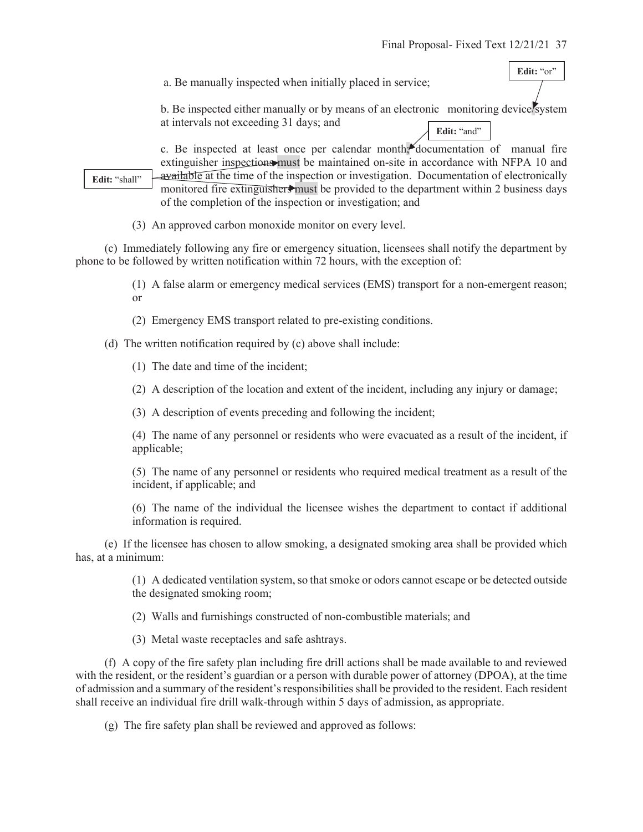Edit: "or"

a. Be manually inspected when initially placed in service;

b. Be inspected either manually or by means of an electronic monitoring device/system at intervals not exceeding 31 days; and Edit: "and"

c. Be inspected at least once per calendar month; documentation of manual fire extinguisher inspections must be maintained on-site in accordance with NFPA 10 and available at the time of the inspection or investigation. Documentation of electronically monitored fire extinguishers must be provided to the department within 2 business days of the completion of the inspection or investigation; and

(3) An approved carbon monoxide monitor on every level.

 (c) Immediately following any fire or emergency situation, licensees shall notify the department by phone to be followed by written notification within 72 hours, with the exception of:

> (1) A false alarm or emergency medical services (EMS) transport for a non-emergent reason; or

(2) Emergency EMS transport related to pre-existing conditions.

(d) The written notification required by (c) above shall include:

(1) The date and time of the incident;

**Edit:** "shall"

(2) A description of the location and extent of the incident, including any injury or damage;

(3) A description of events preceding and following the incident;

(4) The name of any personnel or residents who were evacuated as a result of the incident, if applicable;

(5) The name of any personnel or residents who required medical treatment as a result of the incident, if applicable; and

(6) The name of the individual the licensee wishes the department to contact if additional information is required.

 (e) If the licensee has chosen to allow smoking, a designated smoking area shall be provided which has, at a minimum:

> (1) A dedicated ventilation system, so that smoke or odors cannot escape or be detected outside the designated smoking room;

(2) Walls and furnishings constructed of non-combustible materials; and

(3) Metal waste receptacles and safe ashtrays.

 (f) A copy of the fire safety plan including fire drill actions shall be made available to and reviewed with the resident, or the resident's guardian or a person with durable power of attorney (DPOA), at the time of admission and a summary of the resident's responsibilities shall be provided to the resident. Each resident shall receive an individual fire drill walk-through within 5 days of admission, as appropriate.

(g) The fire safety plan shall be reviewed and approved as follows: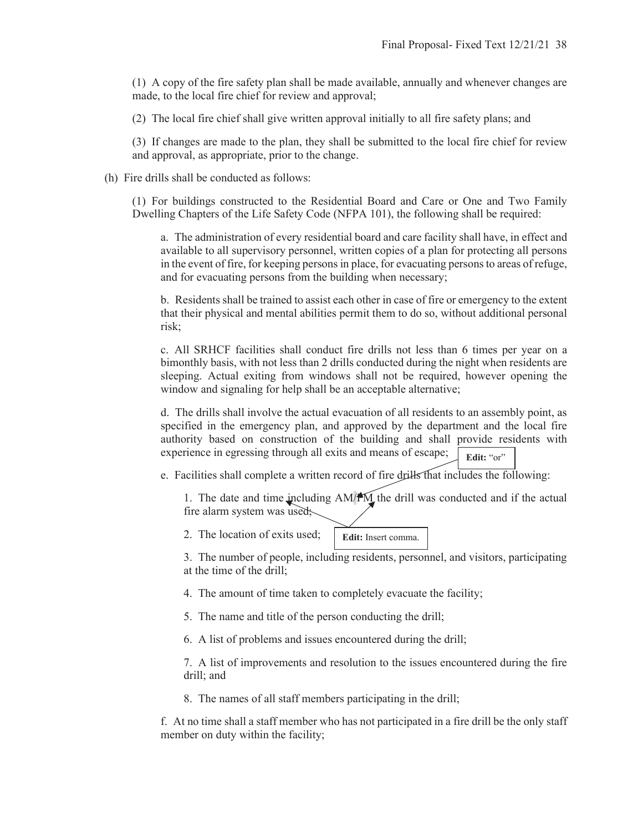(1) A copy of the fire safety plan shall be made available, annually and whenever changes are made, to the local fire chief for review and approval;

(2) The local fire chief shall give written approval initially to all fire safety plans; and

(3) If changes are made to the plan, they shall be submitted to the local fire chief for review and approval, as appropriate, prior to the change.

(h) Fire drills shall be conducted as follows:

(1) For buildings constructed to the Residential Board and Care or One and Two Family Dwelling Chapters of the Life Safety Code (NFPA 101), the following shall be required:

a. The administration of every residential board and care facility shall have, in effect and available to all supervisory personnel, written copies of a plan for protecting all persons in the event of fire, for keeping persons in place, for evacuating persons to areas of refuge, and for evacuating persons from the building when necessary;

b. Residents shall be trained to assist each other in case of fire or emergency to the extent that their physical and mental abilities permit them to do so, without additional personal risk;

c. All SRHCF facilities shall conduct fire drills not less than 6 times per year on a bimonthly basis, with not less than 2 drills conducted during the night when residents are sleeping. Actual exiting from windows shall not be required, however opening the window and signaling for help shall be an acceptable alternative;

d. The drills shall involve the actual evacuation of all residents to an assembly point, as specified in the emergency plan, and approved by the department and the local fire authority based on construction of the building and shall provide residents with experience in egressing through all exits and means of escape; Edit: "or"

e. Facilities shall complete a written record of fire drills that includes the following:

1. The date and time including  $AM/M$  the drill was conducted and if the actual fire alarm system was used;

2. The location of exits used;

**Edit:** Insert comma.

3. The number of people, including residents, personnel, and visitors, participating at the time of the drill;

- 4. The amount of time taken to completely evacuate the facility;
- 5. The name and title of the person conducting the drill;
- 6. A list of problems and issues encountered during the drill;

7. A list of improvements and resolution to the issues encountered during the fire drill; and

8. The names of all staff members participating in the drill;

f. At no time shall a staff member who has not participated in a fire drill be the only staff member on duty within the facility;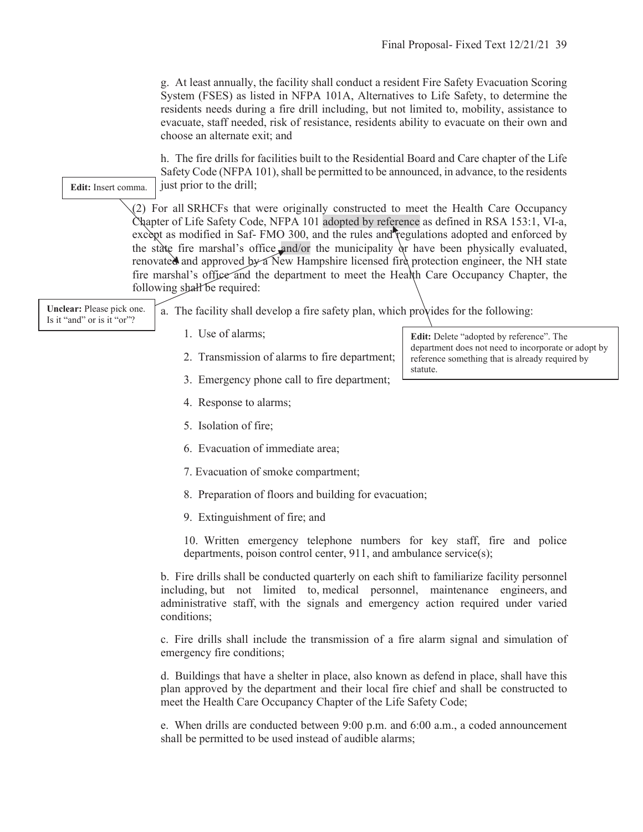g. At least annually, the facility shall conduct a resident Fire Safety Evacuation Scoring System (FSES) as listed in NFPA 101A, Alternatives to Life Safety, to determine the residents needs during a fire drill including, but not limited to, mobility, assistance to evacuate, staff needed, risk of resistance, residents ability to evacuate on their own and choose an alternate exit; and

h. The fire drills for facilities built to the Residential Board and Care chapter of the Life Safety Code (NFPA 101), shall be permitted to be announced, in advance, to the residents just prior to the drill;

(2) For all SRHCFs that were originally constructed to meet the Health Care Occupancy Chapter of Life Safety Code, NFPA 101 adopted by reference as defined in RSA 153:1, VI-a, except as modified in Saf- FMO 300, and the rules and regulations adopted and enforced by the state fire marshal's office and/or the municipality or have been physically evaluated, renovated and approved by a New Hampshire licensed fire protection engineer, the NH state fire marshal's office and the department to meet the Health Care Occupancy Chapter, the following shall be required:

**Unclear:** Please pick one. Is it "and" or is it "or"?

**Edit:** Insert comma.

a. The facility shall develop a fire safety plan, which provides for the following:

- 1. Use of alarms;
- 2. Transmission of alarms to fire department;
- 3. Emergency phone call to fire department;
- 4. Response to alarms;
- 5. Isolation of fire;
- 6. Evacuation of immediate area;
- 7. Evacuation of smoke compartment;
- 8. Preparation of floors and building for evacuation;
- 9. Extinguishment of fire; and

10. Written emergency telephone numbers for key staff, fire and police departments, poison control center, 911, and ambulance service(s);

b. Fire drills shall be conducted quarterly on each shift to familiarize facility personnel including, but not limited to, medical personnel, maintenance engineers, and administrative staff, with the signals and emergency action required under varied conditions;

c. Fire drills shall include the transmission of a fire alarm signal and simulation of emergency fire conditions;

d. Buildings that have a shelter in place, also known as defend in place, shall have this plan approved by the department and their local fire chief and shall be constructed to meet the Health Care Occupancy Chapter of the Life Safety Code;

e. When drills are conducted between 9:00 p.m. and 6:00 a.m., a coded announcement shall be permitted to be used instead of audible alarms;

**Edit:** Delete "adopted by reference". The department does not need to incorporate or adopt by reference something that is already required by statute.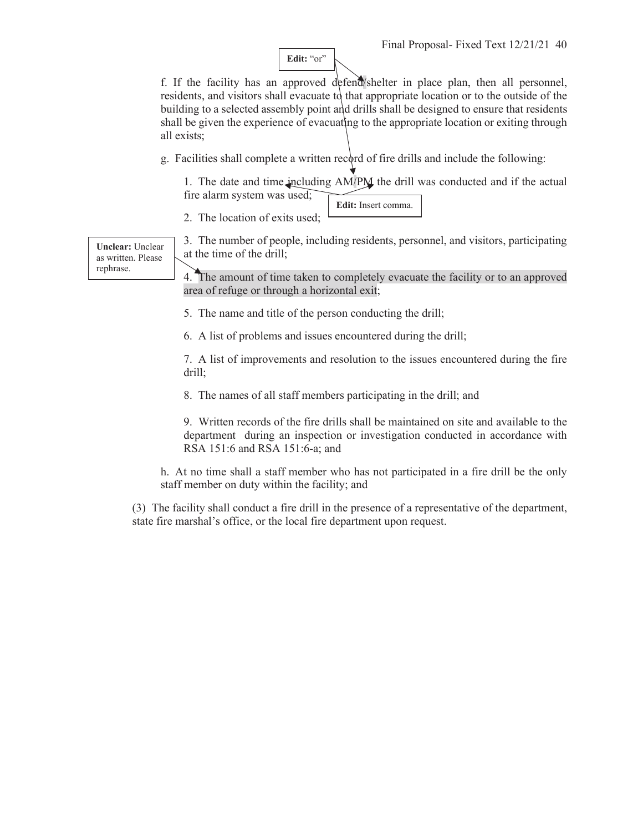**Edit:** "or"

f. If the facility has an approved defend/shelter in place plan, then all personnel, residents, and visitors shall evacuate to that appropriate location or to the outside of the building to a selected assembly point and drills shall be designed to ensure that residents shall be given the experience of evacuating to the appropriate location or exiting through all exists;

g. Facilities shall complete a written record of fire drills and include the following:

1. The date and time including AM/PM the drill was conducted and if the actual fire alarm system was used; **Edit:** Insert comma.

2. The location of exits used;

**Unclear:** Unclear as written. Please rephrase.

3. The number of people, including residents, personnel, and visitors, participating at the time of the drill;

4. The amount of time taken to completely evacuate the facility or to an approved area of refuge or through a horizontal exit;

5. The name and title of the person conducting the drill;

6. A list of problems and issues encountered during the drill;

7. A list of improvements and resolution to the issues encountered during the fire drill;

8. The names of all staff members participating in the drill; and

9. Written records of the fire drills shall be maintained on site and available to the department during an inspection or investigation conducted in accordance with RSA 151:6 and RSA 151:6-a; and

h. At no time shall a staff member who has not participated in a fire drill be the only staff member on duty within the facility; and

(3) The facility shall conduct a fire drill in the presence of a representative of the department, state fire marshal's office, or the local fire department upon request.